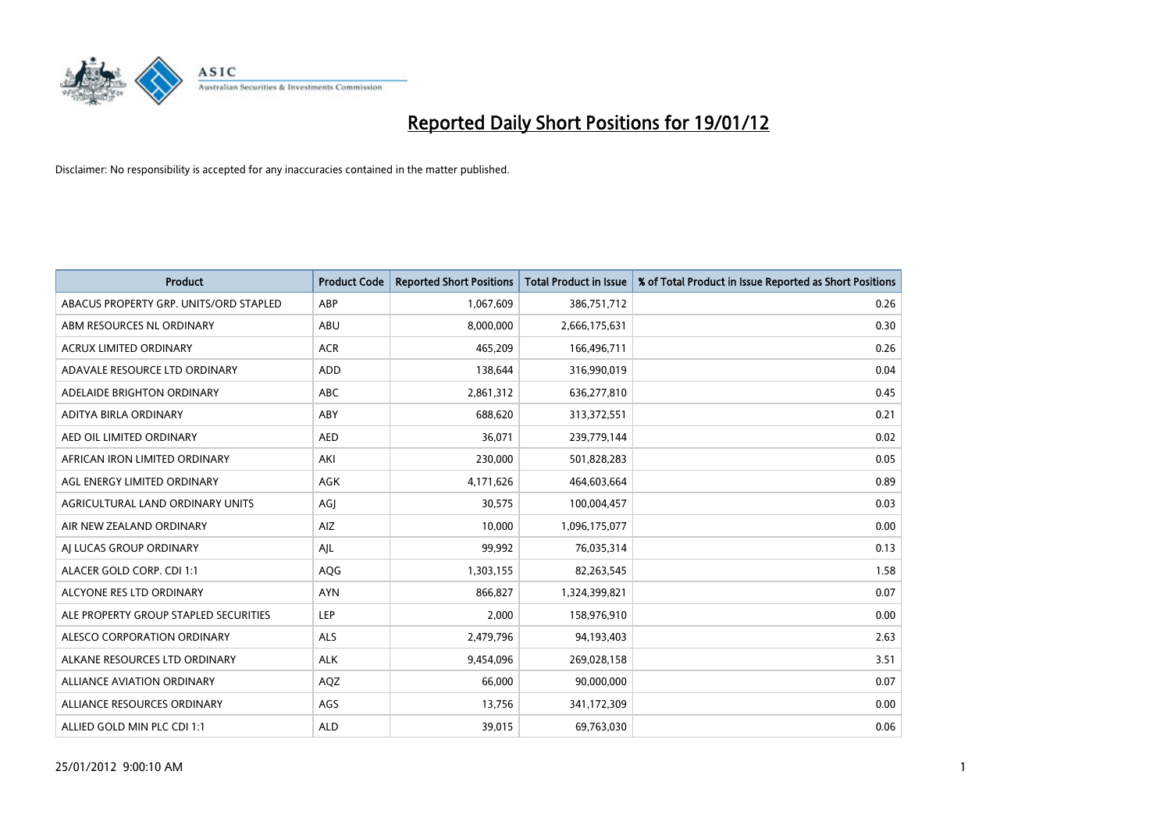

| <b>Product</b>                         | <b>Product Code</b> | <b>Reported Short Positions</b> | <b>Total Product in Issue</b> | % of Total Product in Issue Reported as Short Positions |
|----------------------------------------|---------------------|---------------------------------|-------------------------------|---------------------------------------------------------|
| ABACUS PROPERTY GRP. UNITS/ORD STAPLED | ABP                 | 1,067,609                       | 386,751,712                   | 0.26                                                    |
| ABM RESOURCES NL ORDINARY              | ABU                 | 8,000,000                       | 2,666,175,631                 | 0.30                                                    |
| <b>ACRUX LIMITED ORDINARY</b>          | <b>ACR</b>          | 465,209                         | 166,496,711                   | 0.26                                                    |
| ADAVALE RESOURCE LTD ORDINARY          | ADD                 | 138,644                         | 316,990,019                   | 0.04                                                    |
| ADELAIDE BRIGHTON ORDINARY             | <b>ABC</b>          | 2,861,312                       | 636,277,810                   | 0.45                                                    |
| ADITYA BIRLA ORDINARY                  | ABY                 | 688,620                         | 313,372,551                   | 0.21                                                    |
| AED OIL LIMITED ORDINARY               | <b>AED</b>          | 36.071                          | 239,779,144                   | 0.02                                                    |
| AFRICAN IRON LIMITED ORDINARY          | AKI                 | 230,000                         | 501,828,283                   | 0.05                                                    |
| AGL ENERGY LIMITED ORDINARY            | <b>AGK</b>          | 4,171,626                       | 464,603,664                   | 0.89                                                    |
| AGRICULTURAL LAND ORDINARY UNITS       | AGI                 | 30,575                          | 100,004,457                   | 0.03                                                    |
| AIR NEW ZEALAND ORDINARY               | AIZ                 | 10,000                          | 1,096,175,077                 | 0.00                                                    |
| AI LUCAS GROUP ORDINARY                | AJL                 | 99,992                          | 76,035,314                    | 0.13                                                    |
| ALACER GOLD CORP. CDI 1:1              | AQG                 | 1,303,155                       | 82,263,545                    | 1.58                                                    |
| ALCYONE RES LTD ORDINARY               | <b>AYN</b>          | 866.827                         | 1,324,399,821                 | 0.07                                                    |
| ALE PROPERTY GROUP STAPLED SECURITIES  | LEP                 | 2,000                           | 158,976,910                   | 0.00                                                    |
| ALESCO CORPORATION ORDINARY            | <b>ALS</b>          | 2,479,796                       | 94,193,403                    | 2.63                                                    |
| ALKANE RESOURCES LTD ORDINARY          | <b>ALK</b>          | 9,454,096                       | 269,028,158                   | 3.51                                                    |
| <b>ALLIANCE AVIATION ORDINARY</b>      | AQZ                 | 66,000                          | 90,000,000                    | 0.07                                                    |
| ALLIANCE RESOURCES ORDINARY            | AGS                 | 13,756                          | 341,172,309                   | 0.00                                                    |
| ALLIED GOLD MIN PLC CDI 1:1            | <b>ALD</b>          | 39,015                          | 69,763,030                    | 0.06                                                    |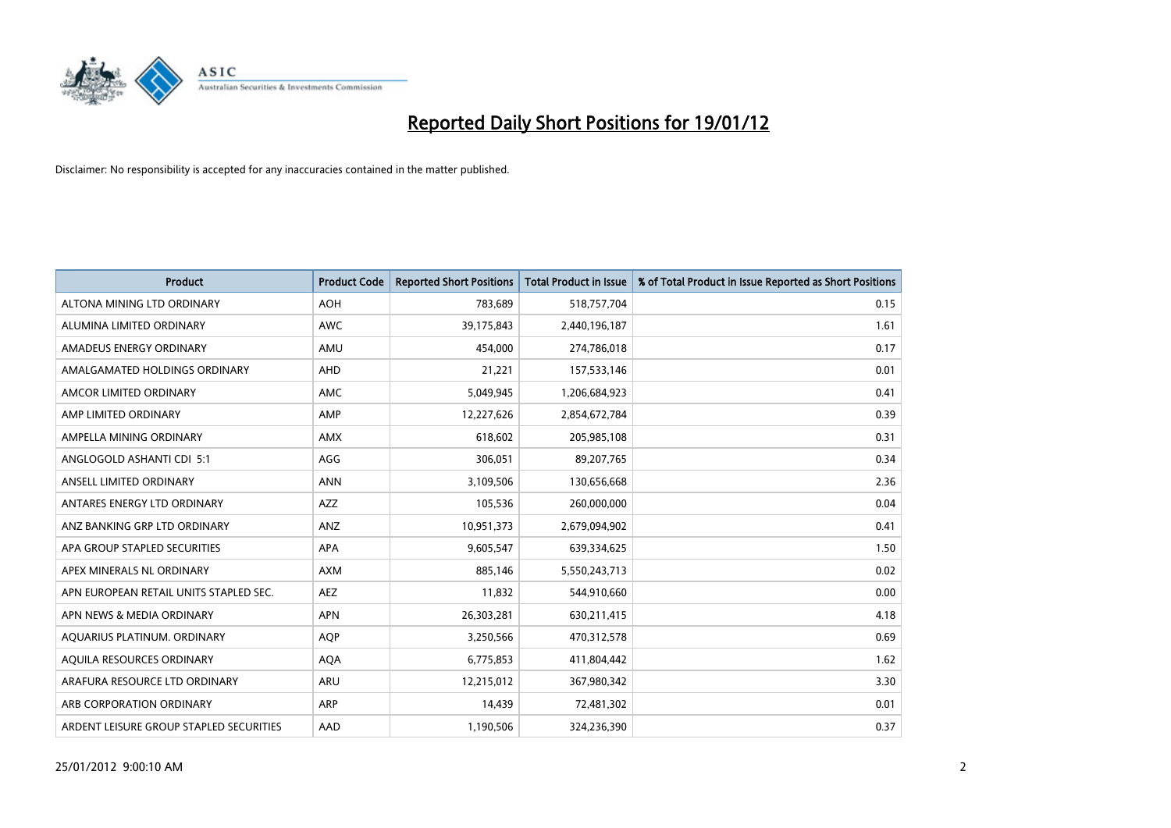

| Product                                 | <b>Product Code</b> | <b>Reported Short Positions</b> | <b>Total Product in Issue</b> | % of Total Product in Issue Reported as Short Positions |
|-----------------------------------------|---------------------|---------------------------------|-------------------------------|---------------------------------------------------------|
| ALTONA MINING LTD ORDINARY              | <b>AOH</b>          | 783,689                         | 518,757,704                   | 0.15                                                    |
| ALUMINA LIMITED ORDINARY                | <b>AWC</b>          | 39,175,843                      | 2,440,196,187                 | 1.61                                                    |
| AMADEUS ENERGY ORDINARY                 | AMU                 | 454,000                         | 274,786,018                   | 0.17                                                    |
| AMALGAMATED HOLDINGS ORDINARY           | AHD                 | 21,221                          | 157,533,146                   | 0.01                                                    |
| AMCOR LIMITED ORDINARY                  | <b>AMC</b>          | 5,049,945                       | 1,206,684,923                 | 0.41                                                    |
| AMP LIMITED ORDINARY                    | AMP                 | 12,227,626                      | 2,854,672,784                 | 0.39                                                    |
| AMPELLA MINING ORDINARY                 | AMX                 | 618,602                         | 205,985,108                   | 0.31                                                    |
| ANGLOGOLD ASHANTI CDI 5:1               | AGG                 | 306,051                         | 89,207,765                    | 0.34                                                    |
| ANSELL LIMITED ORDINARY                 | <b>ANN</b>          | 3,109,506                       | 130,656,668                   | 2.36                                                    |
| ANTARES ENERGY LTD ORDINARY             | <b>AZZ</b>          | 105,536                         | 260,000,000                   | 0.04                                                    |
| ANZ BANKING GRP LTD ORDINARY            | ANZ                 | 10,951,373                      | 2,679,094,902                 | 0.41                                                    |
| APA GROUP STAPLED SECURITIES            | APA                 | 9,605,547                       | 639,334,625                   | 1.50                                                    |
| APEX MINERALS NL ORDINARY               | <b>AXM</b>          | 885,146                         | 5,550,243,713                 | 0.02                                                    |
| APN EUROPEAN RETAIL UNITS STAPLED SEC.  | AEZ                 | 11,832                          | 544,910,660                   | 0.00                                                    |
| APN NEWS & MEDIA ORDINARY               | <b>APN</b>          | 26,303,281                      | 630,211,415                   | 4.18                                                    |
| AQUARIUS PLATINUM. ORDINARY             | <b>AOP</b>          | 3,250,566                       | 470,312,578                   | 0.69                                                    |
| AQUILA RESOURCES ORDINARY               | <b>AQA</b>          | 6,775,853                       | 411,804,442                   | 1.62                                                    |
| ARAFURA RESOURCE LTD ORDINARY           | ARU                 | 12,215,012                      | 367,980,342                   | 3.30                                                    |
| ARB CORPORATION ORDINARY                | <b>ARP</b>          | 14,439                          | 72,481,302                    | 0.01                                                    |
| ARDENT LEISURE GROUP STAPLED SECURITIES | AAD                 | 1,190,506                       | 324,236,390                   | 0.37                                                    |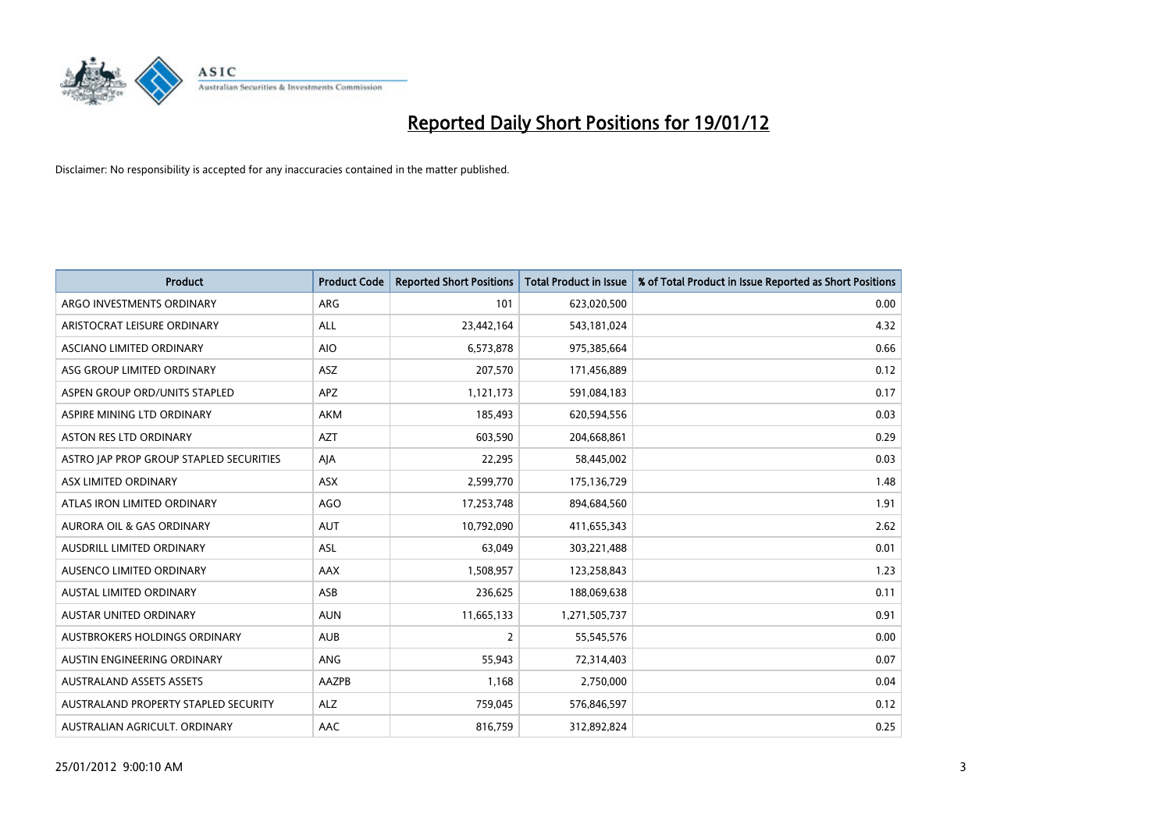

| <b>Product</b>                          | <b>Product Code</b> | <b>Reported Short Positions</b> | <b>Total Product in Issue</b> | % of Total Product in Issue Reported as Short Positions |
|-----------------------------------------|---------------------|---------------------------------|-------------------------------|---------------------------------------------------------|
| ARGO INVESTMENTS ORDINARY               | ARG                 | 101                             | 623,020,500                   | 0.00                                                    |
| ARISTOCRAT LEISURE ORDINARY             | ALL                 | 23,442,164                      | 543,181,024                   | 4.32                                                    |
| ASCIANO LIMITED ORDINARY                | <b>AIO</b>          | 6,573,878                       | 975,385,664                   | 0.66                                                    |
| ASG GROUP LIMITED ORDINARY              | ASZ                 | 207,570                         | 171,456,889                   | 0.12                                                    |
| ASPEN GROUP ORD/UNITS STAPLED           | <b>APZ</b>          | 1,121,173                       | 591,084,183                   | 0.17                                                    |
| ASPIRE MINING LTD ORDINARY              | <b>AKM</b>          | 185,493                         | 620,594,556                   | 0.03                                                    |
| ASTON RES LTD ORDINARY                  | <b>AZT</b>          | 603,590                         | 204,668,861                   | 0.29                                                    |
| ASTRO JAP PROP GROUP STAPLED SECURITIES | AJA                 | 22,295                          | 58,445,002                    | 0.03                                                    |
| ASX LIMITED ORDINARY                    | ASX                 | 2,599,770                       | 175,136,729                   | 1.48                                                    |
| ATLAS IRON LIMITED ORDINARY             | <b>AGO</b>          | 17,253,748                      | 894,684,560                   | 1.91                                                    |
| <b>AURORA OIL &amp; GAS ORDINARY</b>    | <b>AUT</b>          | 10,792,090                      | 411,655,343                   | 2.62                                                    |
| AUSDRILL LIMITED ORDINARY               | <b>ASL</b>          | 63,049                          | 303,221,488                   | 0.01                                                    |
| AUSENCO LIMITED ORDINARY                | AAX                 | 1,508,957                       | 123,258,843                   | 1.23                                                    |
| AUSTAL LIMITED ORDINARY                 | ASB                 | 236,625                         | 188,069,638                   | 0.11                                                    |
| <b>AUSTAR UNITED ORDINARY</b>           | <b>AUN</b>          | 11,665,133                      | 1,271,505,737                 | 0.91                                                    |
| AUSTBROKERS HOLDINGS ORDINARY           | <b>AUB</b>          | $\overline{2}$                  | 55,545,576                    | 0.00                                                    |
| AUSTIN ENGINEERING ORDINARY             | ANG                 | 55,943                          | 72,314,403                    | 0.07                                                    |
| <b>AUSTRALAND ASSETS ASSETS</b>         | AAZPB               | 1,168                           | 2,750,000                     | 0.04                                                    |
| AUSTRALAND PROPERTY STAPLED SECURITY    | ALZ                 | 759,045                         | 576,846,597                   | 0.12                                                    |
| AUSTRALIAN AGRICULT. ORDINARY           | AAC                 | 816,759                         | 312,892,824                   | 0.25                                                    |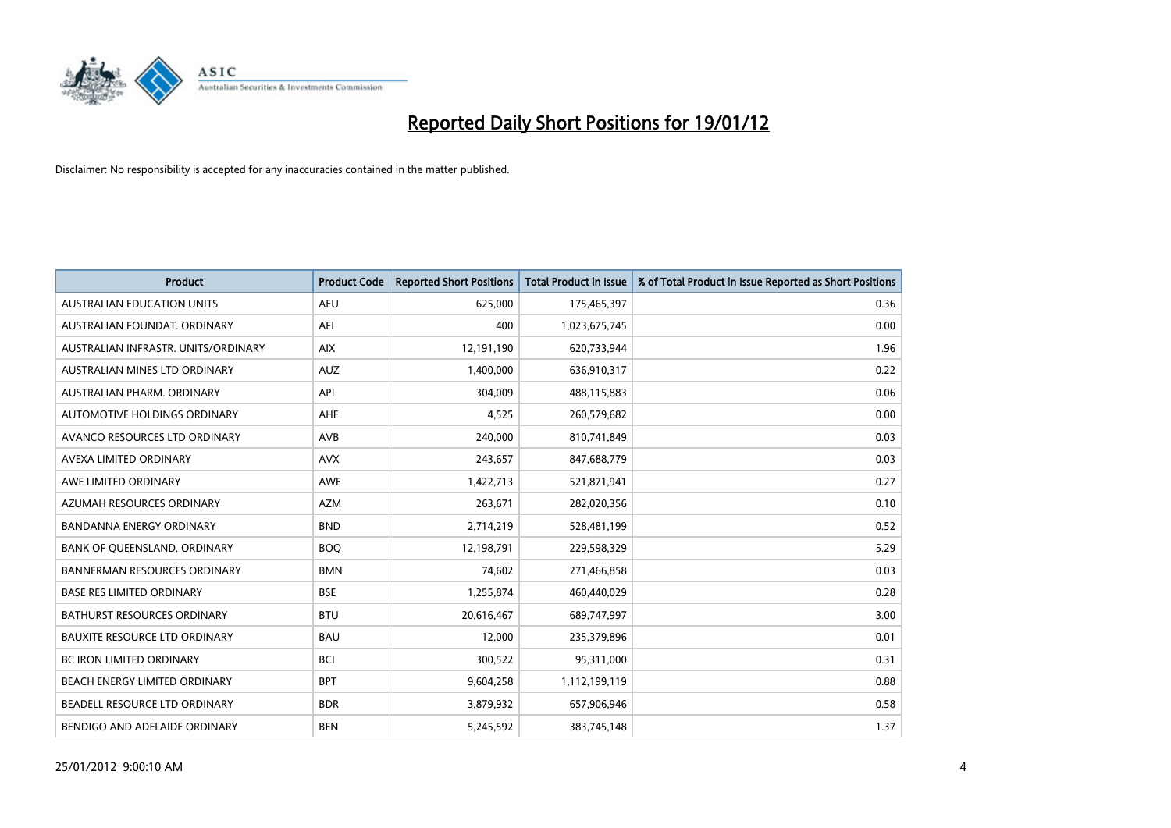

| <b>Product</b>                       | <b>Product Code</b> | <b>Reported Short Positions</b> | <b>Total Product in Issue</b> | % of Total Product in Issue Reported as Short Positions |
|--------------------------------------|---------------------|---------------------------------|-------------------------------|---------------------------------------------------------|
| <b>AUSTRALIAN EDUCATION UNITS</b>    | <b>AEU</b>          | 625,000                         | 175,465,397                   | 0.36                                                    |
| AUSTRALIAN FOUNDAT. ORDINARY         | AFI                 | 400                             | 1,023,675,745                 | 0.00                                                    |
| AUSTRALIAN INFRASTR, UNITS/ORDINARY  | <b>AIX</b>          | 12,191,190                      | 620,733,944                   | 1.96                                                    |
| AUSTRALIAN MINES LTD ORDINARY        | <b>AUZ</b>          | 1,400,000                       | 636,910,317                   | 0.22                                                    |
| AUSTRALIAN PHARM, ORDINARY           | API                 | 304,009                         | 488,115,883                   | 0.06                                                    |
| <b>AUTOMOTIVE HOLDINGS ORDINARY</b>  | <b>AHE</b>          | 4,525                           | 260,579,682                   | 0.00                                                    |
| AVANCO RESOURCES LTD ORDINARY        | AVB                 | 240,000                         | 810,741,849                   | 0.03                                                    |
| AVEXA LIMITED ORDINARY               | <b>AVX</b>          | 243,657                         | 847,688,779                   | 0.03                                                    |
| AWE LIMITED ORDINARY                 | <b>AWE</b>          | 1,422,713                       | 521,871,941                   | 0.27                                                    |
| AZUMAH RESOURCES ORDINARY            | <b>AZM</b>          | 263,671                         | 282,020,356                   | 0.10                                                    |
| BANDANNA ENERGY ORDINARY             | <b>BND</b>          | 2,714,219                       | 528,481,199                   | 0.52                                                    |
| BANK OF OUEENSLAND, ORDINARY         | <b>BOQ</b>          | 12,198,791                      | 229,598,329                   | 5.29                                                    |
| <b>BANNERMAN RESOURCES ORDINARY</b>  | <b>BMN</b>          | 74,602                          | 271,466,858                   | 0.03                                                    |
| <b>BASE RES LIMITED ORDINARY</b>     | <b>BSE</b>          | 1,255,874                       | 460,440,029                   | 0.28                                                    |
| <b>BATHURST RESOURCES ORDINARY</b>   | <b>BTU</b>          | 20,616,467                      | 689,747,997                   | 3.00                                                    |
| <b>BAUXITE RESOURCE LTD ORDINARY</b> | <b>BAU</b>          | 12,000                          | 235,379,896                   | 0.01                                                    |
| BC IRON LIMITED ORDINARY             | <b>BCI</b>          | 300,522                         | 95,311,000                    | 0.31                                                    |
| BEACH ENERGY LIMITED ORDINARY        | <b>BPT</b>          | 9,604,258                       | 1,112,199,119                 | 0.88                                                    |
| BEADELL RESOURCE LTD ORDINARY        | <b>BDR</b>          | 3,879,932                       | 657,906,946                   | 0.58                                                    |
| BENDIGO AND ADELAIDE ORDINARY        | <b>BEN</b>          | 5,245,592                       | 383,745,148                   | 1.37                                                    |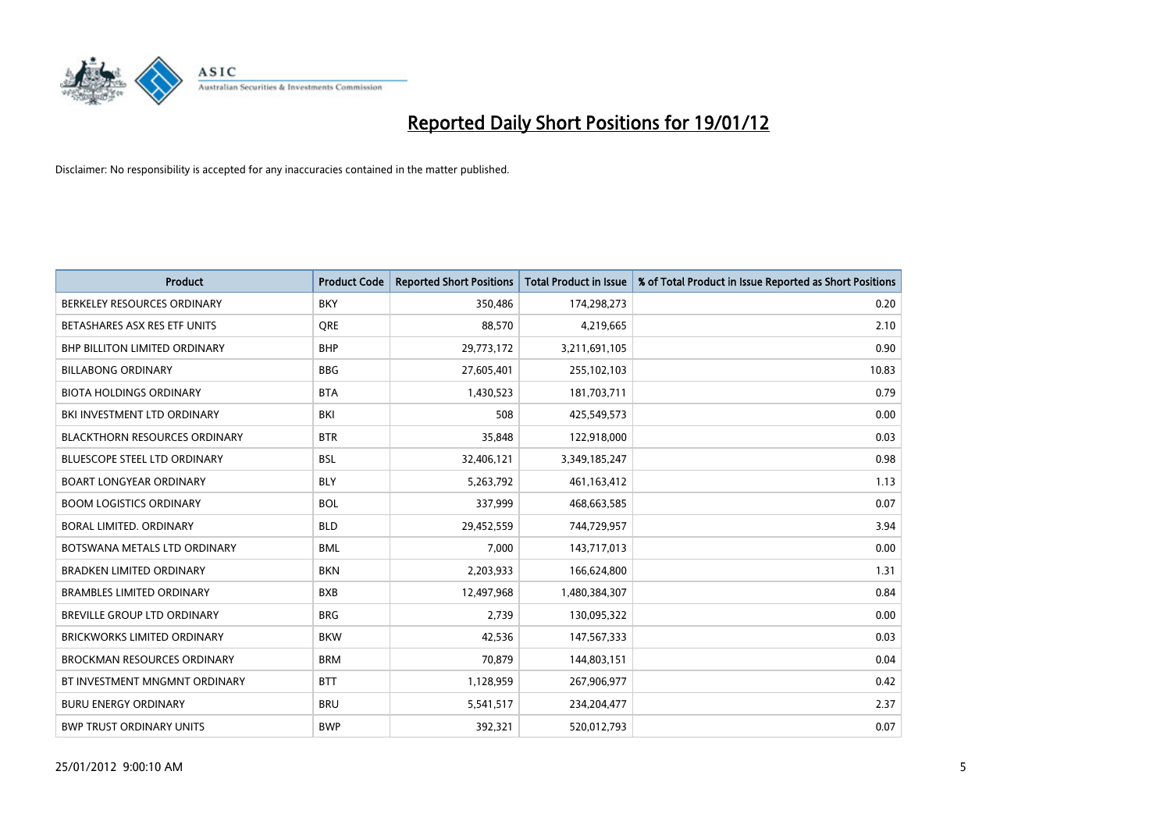

| <b>Product</b>                       | <b>Product Code</b> | <b>Reported Short Positions</b> | <b>Total Product in Issue</b> | % of Total Product in Issue Reported as Short Positions |
|--------------------------------------|---------------------|---------------------------------|-------------------------------|---------------------------------------------------------|
| BERKELEY RESOURCES ORDINARY          | <b>BKY</b>          | 350,486                         | 174,298,273                   | 0.20                                                    |
| BETASHARES ASX RES ETF UNITS         | <b>ORE</b>          | 88,570                          | 4,219,665                     | 2.10                                                    |
| <b>BHP BILLITON LIMITED ORDINARY</b> | <b>BHP</b>          | 29,773,172                      | 3,211,691,105                 | 0.90                                                    |
| <b>BILLABONG ORDINARY</b>            | <b>BBG</b>          | 27,605,401                      | 255,102,103                   | 10.83                                                   |
| <b>BIOTA HOLDINGS ORDINARY</b>       | <b>BTA</b>          | 1,430,523                       | 181,703,711                   | 0.79                                                    |
| BKI INVESTMENT LTD ORDINARY          | BKI                 | 508                             | 425,549,573                   | 0.00                                                    |
| <b>BLACKTHORN RESOURCES ORDINARY</b> | <b>BTR</b>          | 35,848                          | 122,918,000                   | 0.03                                                    |
| <b>BLUESCOPE STEEL LTD ORDINARY</b>  | <b>BSL</b>          | 32,406,121                      | 3,349,185,247                 | 0.98                                                    |
| <b>BOART LONGYEAR ORDINARY</b>       | <b>BLY</b>          | 5,263,792                       | 461,163,412                   | 1.13                                                    |
| <b>BOOM LOGISTICS ORDINARY</b>       | <b>BOL</b>          | 337,999                         | 468,663,585                   | 0.07                                                    |
| BORAL LIMITED, ORDINARY              | <b>BLD</b>          | 29,452,559                      | 744,729,957                   | 3.94                                                    |
| BOTSWANA METALS LTD ORDINARY         | <b>BML</b>          | 7,000                           | 143,717,013                   | 0.00                                                    |
| <b>BRADKEN LIMITED ORDINARY</b>      | <b>BKN</b>          | 2,203,933                       | 166,624,800                   | 1.31                                                    |
| <b>BRAMBLES LIMITED ORDINARY</b>     | <b>BXB</b>          | 12,497,968                      | 1,480,384,307                 | 0.84                                                    |
| <b>BREVILLE GROUP LTD ORDINARY</b>   | <b>BRG</b>          | 2,739                           | 130,095,322                   | 0.00                                                    |
| <b>BRICKWORKS LIMITED ORDINARY</b>   | <b>BKW</b>          | 42,536                          | 147,567,333                   | 0.03                                                    |
| <b>BROCKMAN RESOURCES ORDINARY</b>   | <b>BRM</b>          | 70,879                          | 144,803,151                   | 0.04                                                    |
| BT INVESTMENT MNGMNT ORDINARY        | <b>BTT</b>          | 1,128,959                       | 267,906,977                   | 0.42                                                    |
| <b>BURU ENERGY ORDINARY</b>          | <b>BRU</b>          | 5,541,517                       | 234,204,477                   | 2.37                                                    |
| <b>BWP TRUST ORDINARY UNITS</b>      | <b>BWP</b>          | 392,321                         | 520,012,793                   | 0.07                                                    |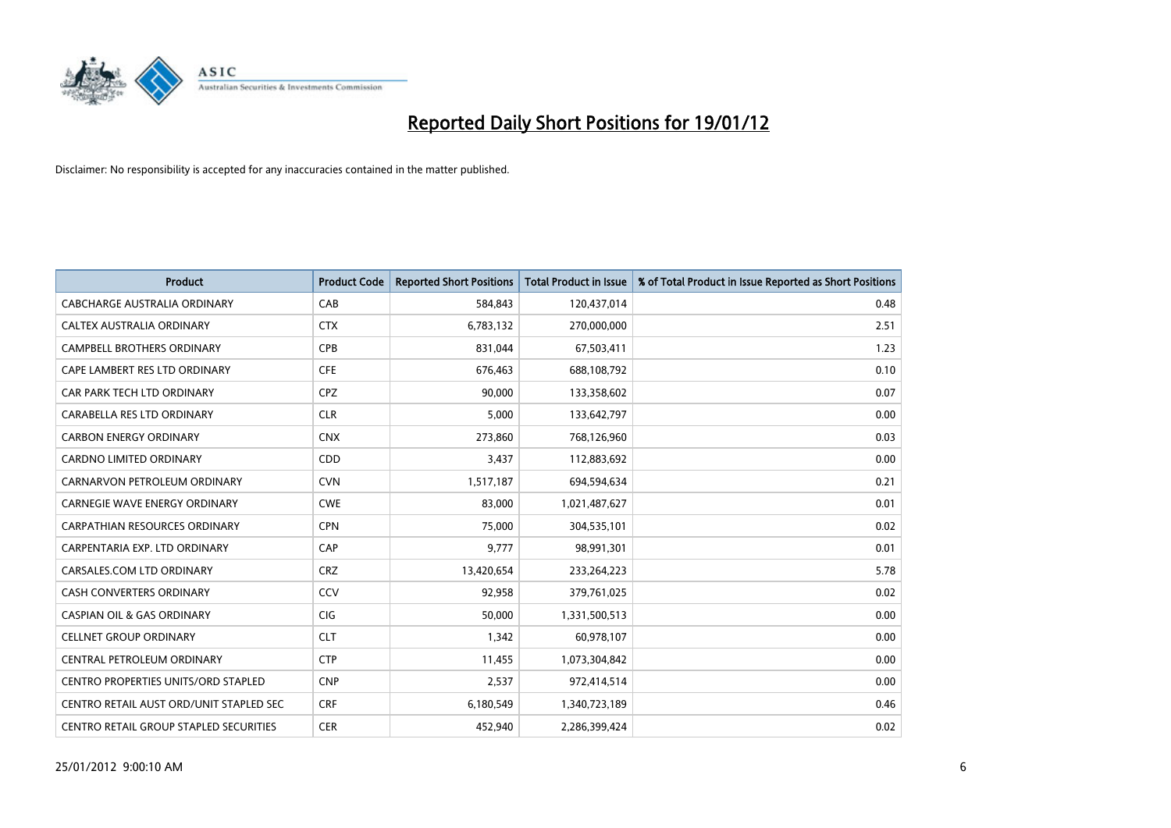

| <b>Product</b>                          | <b>Product Code</b> | <b>Reported Short Positions</b> | <b>Total Product in Issue</b> | % of Total Product in Issue Reported as Short Positions |
|-----------------------------------------|---------------------|---------------------------------|-------------------------------|---------------------------------------------------------|
| <b>CABCHARGE AUSTRALIA ORDINARY</b>     | CAB                 | 584,843                         | 120,437,014                   | 0.48                                                    |
| CALTEX AUSTRALIA ORDINARY               | <b>CTX</b>          | 6,783,132                       | 270,000,000                   | 2.51                                                    |
| <b>CAMPBELL BROTHERS ORDINARY</b>       | <b>CPB</b>          | 831,044                         | 67,503,411                    | 1.23                                                    |
| CAPE LAMBERT RES LTD ORDINARY           | <b>CFE</b>          | 676,463                         | 688,108,792                   | 0.10                                                    |
| CAR PARK TECH LTD ORDINARY              | <b>CPZ</b>          | 90,000                          | 133,358,602                   | 0.07                                                    |
| CARABELLA RES LTD ORDINARY              | <b>CLR</b>          | 5,000                           | 133,642,797                   | 0.00                                                    |
| <b>CARBON ENERGY ORDINARY</b>           | <b>CNX</b>          | 273,860                         | 768,126,960                   | 0.03                                                    |
| CARDNO LIMITED ORDINARY                 | CDD                 | 3,437                           | 112,883,692                   | 0.00                                                    |
| CARNARVON PETROLEUM ORDINARY            | <b>CVN</b>          | 1,517,187                       | 694,594,634                   | 0.21                                                    |
| <b>CARNEGIE WAVE ENERGY ORDINARY</b>    | <b>CWE</b>          | 83,000                          | 1,021,487,627                 | 0.01                                                    |
| CARPATHIAN RESOURCES ORDINARY           | <b>CPN</b>          | 75,000                          | 304,535,101                   | 0.02                                                    |
| CARPENTARIA EXP. LTD ORDINARY           | CAP                 | 9,777                           | 98,991,301                    | 0.01                                                    |
| CARSALES.COM LTD ORDINARY               | <b>CRZ</b>          | 13,420,654                      | 233,264,223                   | 5.78                                                    |
| <b>CASH CONVERTERS ORDINARY</b>         | CCV                 | 92,958                          | 379,761,025                   | 0.02                                                    |
| <b>CASPIAN OIL &amp; GAS ORDINARY</b>   | CIG                 | 50,000                          | 1,331,500,513                 | 0.00                                                    |
| <b>CELLNET GROUP ORDINARY</b>           | <b>CLT</b>          | 1,342                           | 60,978,107                    | 0.00                                                    |
| CENTRAL PETROLEUM ORDINARY              | <b>CTP</b>          | 11,455                          | 1,073,304,842                 | 0.00                                                    |
| CENTRO PROPERTIES UNITS/ORD STAPLED     | <b>CNP</b>          | 2,537                           | 972,414,514                   | 0.00                                                    |
| CENTRO RETAIL AUST ORD/UNIT STAPLED SEC | <b>CRF</b>          | 6,180,549                       | 1,340,723,189                 | 0.46                                                    |
| CENTRO RETAIL GROUP STAPLED SECURITIES  | <b>CER</b>          | 452,940                         | 2,286,399,424                 | 0.02                                                    |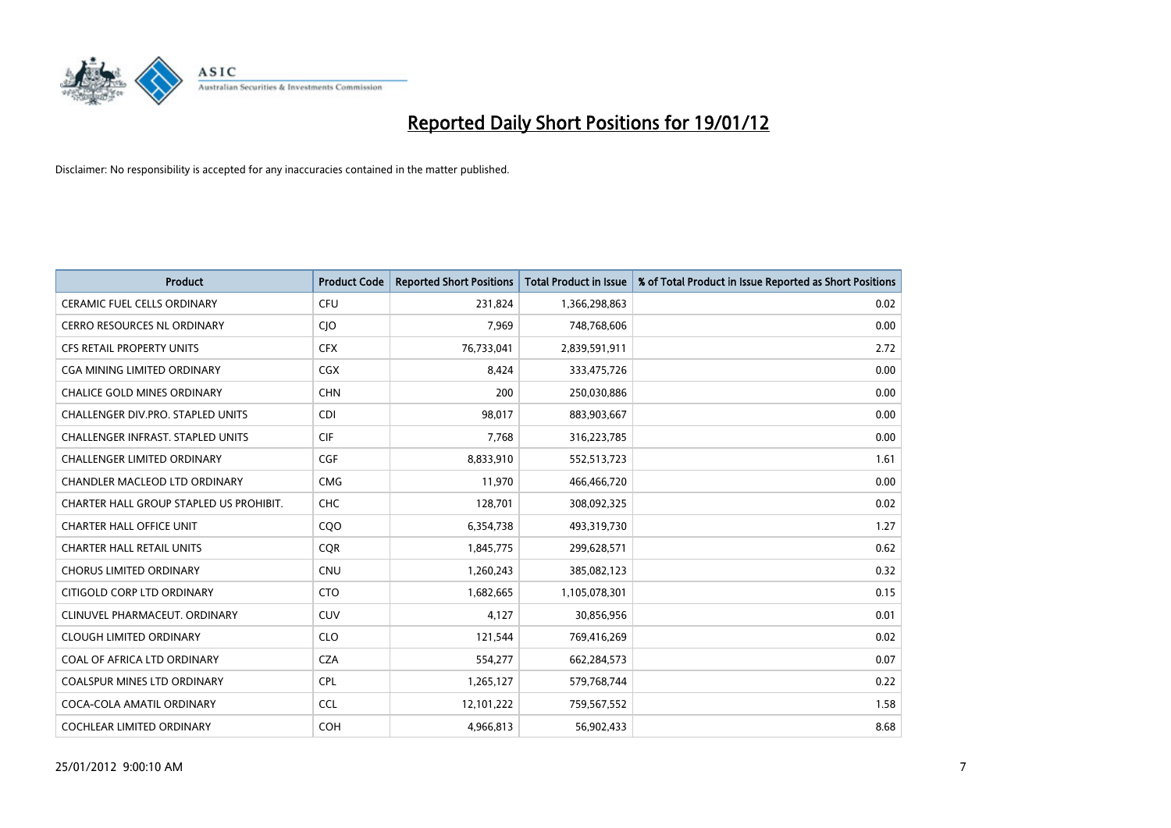

| <b>Product</b>                           | <b>Product Code</b> | <b>Reported Short Positions</b> | <b>Total Product in Issue</b> | % of Total Product in Issue Reported as Short Positions |
|------------------------------------------|---------------------|---------------------------------|-------------------------------|---------------------------------------------------------|
| <b>CERAMIC FUEL CELLS ORDINARY</b>       | <b>CFU</b>          | 231,824                         | 1,366,298,863                 | 0.02                                                    |
| CERRO RESOURCES NL ORDINARY              | <b>CIO</b>          | 7,969                           | 748,768,606                   | 0.00                                                    |
| <b>CFS RETAIL PROPERTY UNITS</b>         | <b>CFX</b>          | 76,733,041                      | 2,839,591,911                 | 2.72                                                    |
| CGA MINING LIMITED ORDINARY              | CGX                 | 8,424                           | 333,475,726                   | 0.00                                                    |
| <b>CHALICE GOLD MINES ORDINARY</b>       | <b>CHN</b>          | 200                             | 250,030,886                   | 0.00                                                    |
| CHALLENGER DIV.PRO. STAPLED UNITS        | <b>CDI</b>          | 98,017                          | 883,903,667                   | 0.00                                                    |
| <b>CHALLENGER INFRAST, STAPLED UNITS</b> | <b>CIF</b>          | 7,768                           | 316,223,785                   | 0.00                                                    |
| CHALLENGER LIMITED ORDINARY              | <b>CGF</b>          | 8,833,910                       | 552,513,723                   | 1.61                                                    |
| CHANDLER MACLEOD LTD ORDINARY            | <b>CMG</b>          | 11,970                          | 466,466,720                   | 0.00                                                    |
| CHARTER HALL GROUP STAPLED US PROHIBIT.  | <b>CHC</b>          | 128,701                         | 308,092,325                   | 0.02                                                    |
| <b>CHARTER HALL OFFICE UNIT</b>          | COO                 | 6,354,738                       | 493,319,730                   | 1.27                                                    |
| <b>CHARTER HALL RETAIL UNITS</b>         | <b>CQR</b>          | 1,845,775                       | 299,628,571                   | 0.62                                                    |
| <b>CHORUS LIMITED ORDINARY</b>           | <b>CNU</b>          | 1,260,243                       | 385,082,123                   | 0.32                                                    |
| CITIGOLD CORP LTD ORDINARY               | <b>CTO</b>          | 1,682,665                       | 1,105,078,301                 | 0.15                                                    |
| CLINUVEL PHARMACEUT, ORDINARY            | CUV                 | 4,127                           | 30,856,956                    | 0.01                                                    |
| <b>CLOUGH LIMITED ORDINARY</b>           | <b>CLO</b>          | 121,544                         | 769,416,269                   | 0.02                                                    |
| COAL OF AFRICA LTD ORDINARY              | <b>CZA</b>          | 554,277                         | 662,284,573                   | 0.07                                                    |
| COALSPUR MINES LTD ORDINARY              | <b>CPL</b>          | 1,265,127                       | 579,768,744                   | 0.22                                                    |
| COCA-COLA AMATIL ORDINARY                | <b>CCL</b>          | 12,101,222                      | 759,567,552                   | 1.58                                                    |
| COCHLEAR LIMITED ORDINARY                | <b>COH</b>          | 4,966,813                       | 56,902,433                    | 8.68                                                    |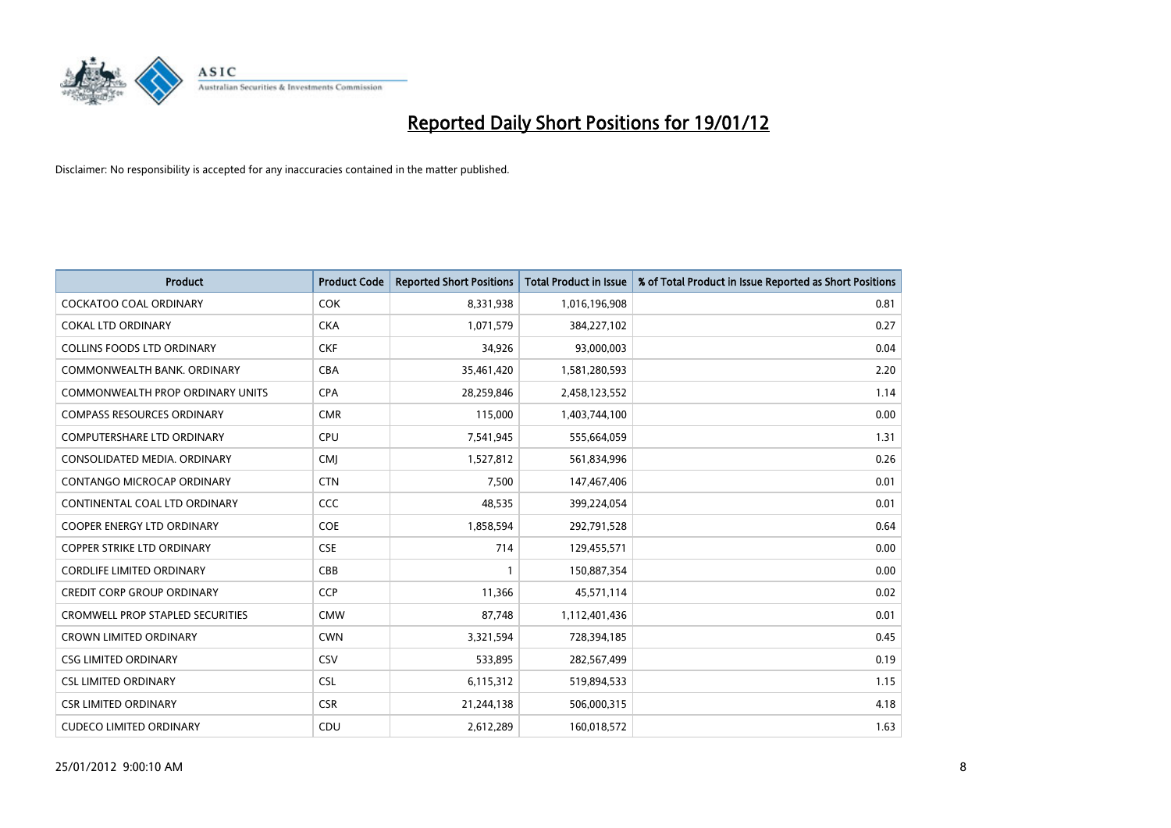

| Product                                 | <b>Product Code</b> | <b>Reported Short Positions</b> | <b>Total Product in Issue</b> | % of Total Product in Issue Reported as Short Positions |
|-----------------------------------------|---------------------|---------------------------------|-------------------------------|---------------------------------------------------------|
| <b>COCKATOO COAL ORDINARY</b>           | <b>COK</b>          | 8,331,938                       | 1,016,196,908                 | 0.81                                                    |
| <b>COKAL LTD ORDINARY</b>               | <b>CKA</b>          | 1,071,579                       | 384,227,102                   | 0.27                                                    |
| <b>COLLINS FOODS LTD ORDINARY</b>       | <b>CKF</b>          | 34,926                          | 93,000,003                    | 0.04                                                    |
| COMMONWEALTH BANK, ORDINARY             | <b>CBA</b>          | 35,461,420                      | 1,581,280,593                 | 2.20                                                    |
| <b>COMMONWEALTH PROP ORDINARY UNITS</b> | <b>CPA</b>          | 28,259,846                      | 2,458,123,552                 | 1.14                                                    |
| <b>COMPASS RESOURCES ORDINARY</b>       | <b>CMR</b>          | 115,000                         | 1,403,744,100                 | 0.00                                                    |
| <b>COMPUTERSHARE LTD ORDINARY</b>       | <b>CPU</b>          | 7,541,945                       | 555,664,059                   | 1.31                                                    |
| CONSOLIDATED MEDIA, ORDINARY            | <b>CMJ</b>          | 1,527,812                       | 561,834,996                   | 0.26                                                    |
| CONTANGO MICROCAP ORDINARY              | <b>CTN</b>          | 7,500                           | 147,467,406                   | 0.01                                                    |
| CONTINENTAL COAL LTD ORDINARY           | CCC                 | 48,535                          | 399,224,054                   | 0.01                                                    |
| COOPER ENERGY LTD ORDINARY              | <b>COE</b>          | 1,858,594                       | 292,791,528                   | 0.64                                                    |
| <b>COPPER STRIKE LTD ORDINARY</b>       | <b>CSE</b>          | 714                             | 129,455,571                   | 0.00                                                    |
| <b>CORDLIFE LIMITED ORDINARY</b>        | CBB                 | $\mathbf{1}$                    | 150,887,354                   | 0.00                                                    |
| <b>CREDIT CORP GROUP ORDINARY</b>       | <b>CCP</b>          | 11,366                          | 45,571,114                    | 0.02                                                    |
| <b>CROMWELL PROP STAPLED SECURITIES</b> | <b>CMW</b>          | 87,748                          | 1,112,401,436                 | 0.01                                                    |
| <b>CROWN LIMITED ORDINARY</b>           | <b>CWN</b>          | 3,321,594                       | 728,394,185                   | 0.45                                                    |
| <b>CSG LIMITED ORDINARY</b>             | CSV                 | 533,895                         | 282,567,499                   | 0.19                                                    |
| <b>CSL LIMITED ORDINARY</b>             | <b>CSL</b>          | 6,115,312                       | 519,894,533                   | 1.15                                                    |
| <b>CSR LIMITED ORDINARY</b>             | <b>CSR</b>          | 21,244,138                      | 506,000,315                   | 4.18                                                    |
| <b>CUDECO LIMITED ORDINARY</b>          | CDU                 | 2,612,289                       | 160,018,572                   | 1.63                                                    |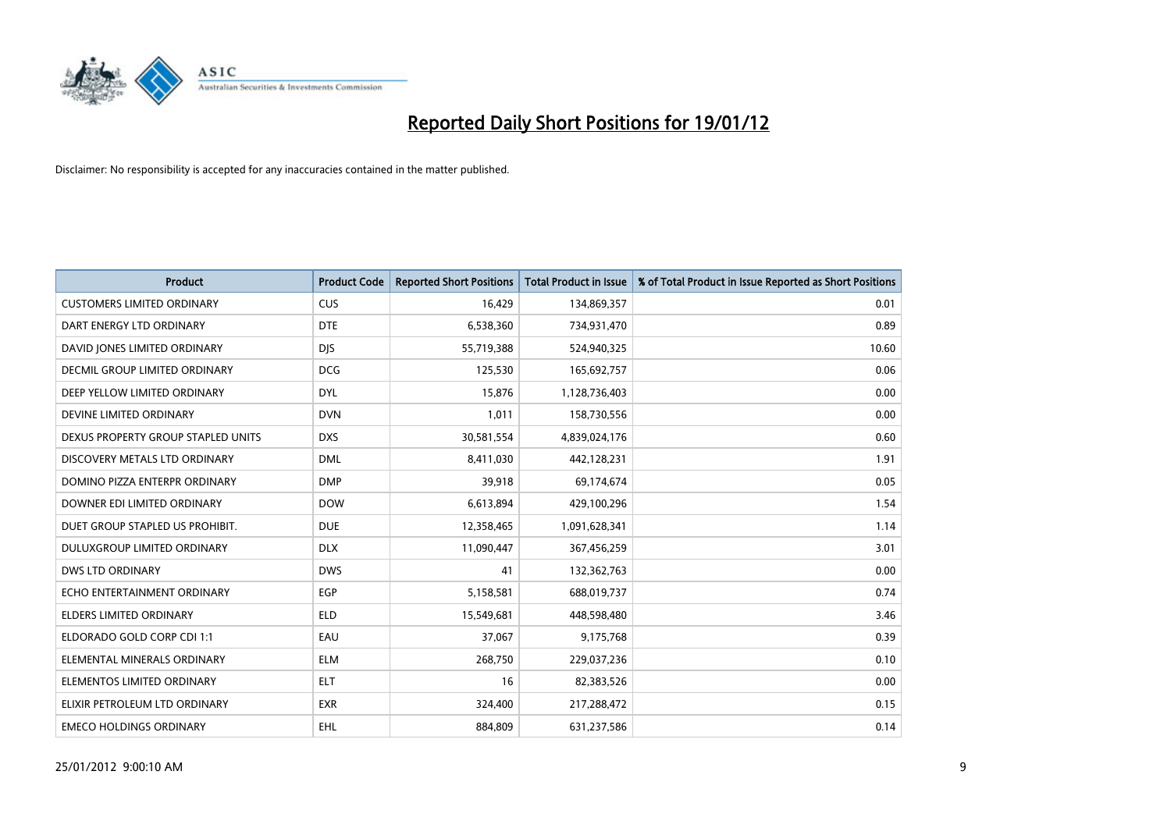

| <b>Product</b>                       | <b>Product Code</b> | <b>Reported Short Positions</b> | <b>Total Product in Issue</b> | % of Total Product in Issue Reported as Short Positions |
|--------------------------------------|---------------------|---------------------------------|-------------------------------|---------------------------------------------------------|
| <b>CUSTOMERS LIMITED ORDINARY</b>    | <b>CUS</b>          | 16,429                          | 134,869,357                   | 0.01                                                    |
| DART ENERGY LTD ORDINARY             | <b>DTE</b>          | 6,538,360                       | 734,931,470                   | 0.89                                                    |
| DAVID JONES LIMITED ORDINARY         | <b>DJS</b>          | 55,719,388                      | 524,940,325                   | 10.60                                                   |
| <b>DECMIL GROUP LIMITED ORDINARY</b> | <b>DCG</b>          | 125,530                         | 165,692,757                   | 0.06                                                    |
| DEEP YELLOW LIMITED ORDINARY         | <b>DYL</b>          | 15,876                          | 1,128,736,403                 | 0.00                                                    |
| DEVINE LIMITED ORDINARY              | <b>DVN</b>          | 1,011                           | 158,730,556                   | 0.00                                                    |
| DEXUS PROPERTY GROUP STAPLED UNITS   | <b>DXS</b>          | 30,581,554                      | 4,839,024,176                 | 0.60                                                    |
| DISCOVERY METALS LTD ORDINARY        | <b>DML</b>          | 8,411,030                       | 442,128,231                   | 1.91                                                    |
| DOMINO PIZZA ENTERPR ORDINARY        | <b>DMP</b>          | 39,918                          | 69,174,674                    | 0.05                                                    |
| DOWNER EDI LIMITED ORDINARY          | <b>DOW</b>          | 6,613,894                       | 429,100,296                   | 1.54                                                    |
| DUET GROUP STAPLED US PROHIBIT.      | <b>DUE</b>          | 12,358,465                      | 1,091,628,341                 | 1.14                                                    |
| <b>DULUXGROUP LIMITED ORDINARY</b>   | <b>DLX</b>          | 11,090,447                      | 367,456,259                   | 3.01                                                    |
| <b>DWS LTD ORDINARY</b>              | <b>DWS</b>          | 41                              | 132,362,763                   | 0.00                                                    |
| ECHO ENTERTAINMENT ORDINARY          | <b>EGP</b>          | 5,158,581                       | 688,019,737                   | 0.74                                                    |
| ELDERS LIMITED ORDINARY              | <b>ELD</b>          | 15,549,681                      | 448,598,480                   | 3.46                                                    |
| ELDORADO GOLD CORP CDI 1:1           | EAU                 | 37,067                          | 9,175,768                     | 0.39                                                    |
| ELEMENTAL MINERALS ORDINARY          | <b>ELM</b>          | 268,750                         | 229,037,236                   | 0.10                                                    |
| ELEMENTOS LIMITED ORDINARY           | ELT                 | 16                              | 82,383,526                    | 0.00                                                    |
| ELIXIR PETROLEUM LTD ORDINARY        | <b>EXR</b>          | 324,400                         | 217,288,472                   | 0.15                                                    |
| <b>EMECO HOLDINGS ORDINARY</b>       | <b>EHL</b>          | 884,809                         | 631,237,586                   | 0.14                                                    |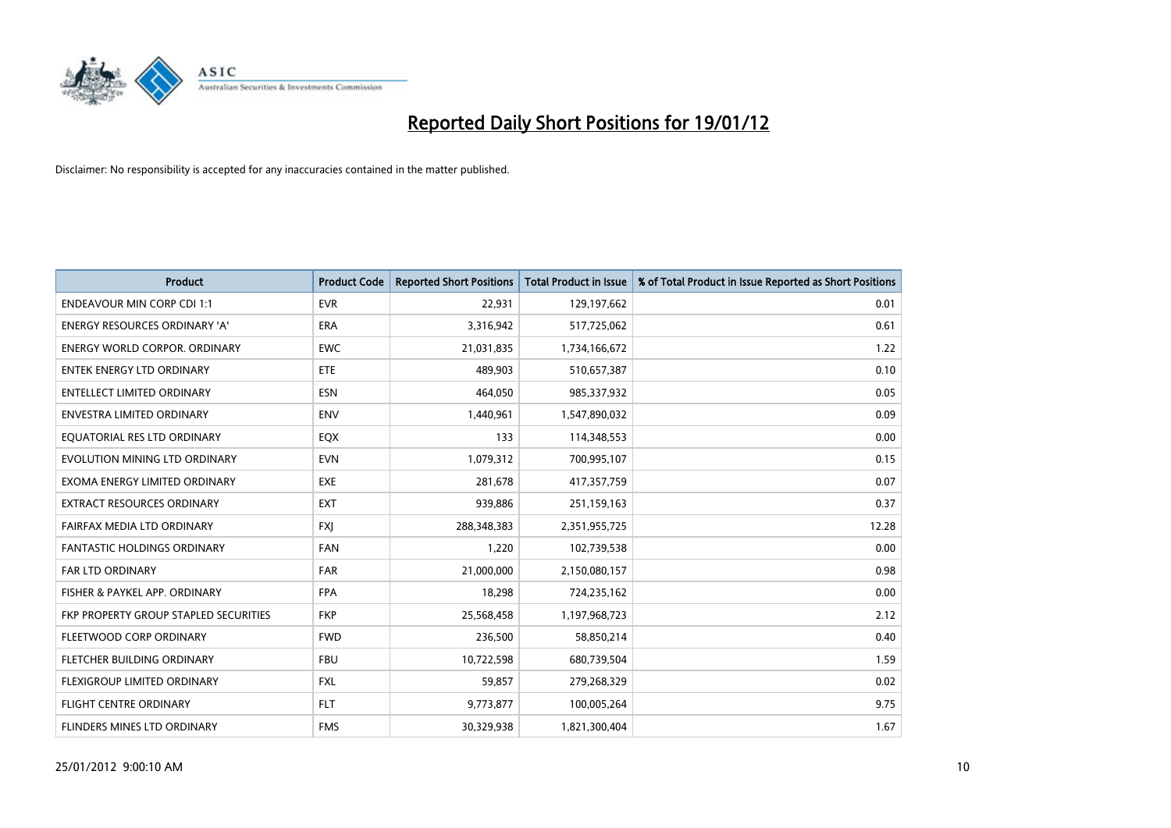

| <b>Product</b>                        | <b>Product Code</b> | <b>Reported Short Positions</b> | <b>Total Product in Issue</b> | % of Total Product in Issue Reported as Short Positions |
|---------------------------------------|---------------------|---------------------------------|-------------------------------|---------------------------------------------------------|
| <b>ENDEAVOUR MIN CORP CDI 1:1</b>     | <b>EVR</b>          | 22,931                          | 129,197,662                   | 0.01                                                    |
| ENERGY RESOURCES ORDINARY 'A'         | <b>ERA</b>          | 3,316,942                       | 517,725,062                   | 0.61                                                    |
| <b>ENERGY WORLD CORPOR, ORDINARY</b>  | <b>EWC</b>          | 21,031,835                      | 1,734,166,672                 | 1.22                                                    |
| <b>ENTEK ENERGY LTD ORDINARY</b>      | ETE                 | 489,903                         | 510,657,387                   | 0.10                                                    |
| <b>ENTELLECT LIMITED ORDINARY</b>     | <b>ESN</b>          | 464,050                         | 985,337,932                   | 0.05                                                    |
| <b>ENVESTRA LIMITED ORDINARY</b>      | <b>ENV</b>          | 1,440,961                       | 1,547,890,032                 | 0.09                                                    |
| EQUATORIAL RES LTD ORDINARY           | EQX                 | 133                             | 114,348,553                   | 0.00                                                    |
| EVOLUTION MINING LTD ORDINARY         | <b>EVN</b>          | 1,079,312                       | 700,995,107                   | 0.15                                                    |
| EXOMA ENERGY LIMITED ORDINARY         | <b>EXE</b>          | 281,678                         | 417,357,759                   | 0.07                                                    |
| <b>EXTRACT RESOURCES ORDINARY</b>     | <b>EXT</b>          | 939,886                         | 251,159,163                   | 0.37                                                    |
| FAIRFAX MEDIA LTD ORDINARY            | <b>FXJ</b>          | 288,348,383                     | 2,351,955,725                 | 12.28                                                   |
| <b>FANTASTIC HOLDINGS ORDINARY</b>    | <b>FAN</b>          | 1,220                           | 102,739,538                   | 0.00                                                    |
| <b>FAR LTD ORDINARY</b>               | <b>FAR</b>          | 21,000,000                      | 2,150,080,157                 | 0.98                                                    |
| FISHER & PAYKEL APP. ORDINARY         | <b>FPA</b>          | 18,298                          | 724,235,162                   | 0.00                                                    |
| FKP PROPERTY GROUP STAPLED SECURITIES | <b>FKP</b>          | 25,568,458                      | 1,197,968,723                 | 2.12                                                    |
| FLEETWOOD CORP ORDINARY               | <b>FWD</b>          | 236,500                         | 58,850,214                    | 0.40                                                    |
| FLETCHER BUILDING ORDINARY            | <b>FBU</b>          | 10,722,598                      | 680,739,504                   | 1.59                                                    |
| FLEXIGROUP LIMITED ORDINARY           | <b>FXL</b>          | 59,857                          | 279,268,329                   | 0.02                                                    |
| FLIGHT CENTRE ORDINARY                | <b>FLT</b>          | 9,773,877                       | 100,005,264                   | 9.75                                                    |
| <b>FLINDERS MINES LTD ORDINARY</b>    | <b>FMS</b>          | 30,329,938                      | 1,821,300,404                 | 1.67                                                    |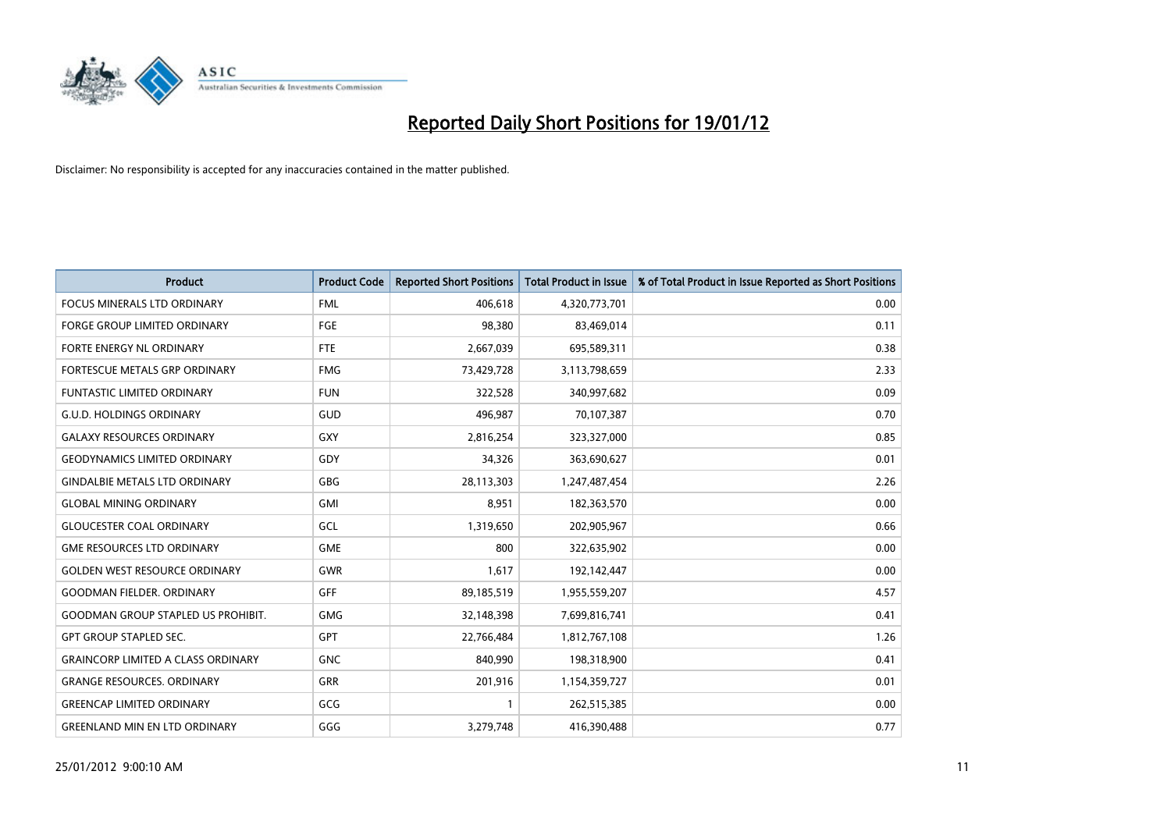

| <b>Product</b>                            | <b>Product Code</b> | <b>Reported Short Positions</b> | <b>Total Product in Issue</b> | % of Total Product in Issue Reported as Short Positions |
|-------------------------------------------|---------------------|---------------------------------|-------------------------------|---------------------------------------------------------|
| <b>FOCUS MINERALS LTD ORDINARY</b>        | <b>FML</b>          | 406,618                         | 4,320,773,701                 | 0.00                                                    |
| FORGE GROUP LIMITED ORDINARY              | FGE                 | 98,380                          | 83,469,014                    | 0.11                                                    |
| FORTE ENERGY NL ORDINARY                  | <b>FTE</b>          | 2,667,039                       | 695,589,311                   | 0.38                                                    |
| FORTESCUE METALS GRP ORDINARY             | <b>FMG</b>          | 73,429,728                      | 3,113,798,659                 | 2.33                                                    |
| <b>FUNTASTIC LIMITED ORDINARY</b>         | <b>FUN</b>          | 322,528                         | 340,997,682                   | 0.09                                                    |
| <b>G.U.D. HOLDINGS ORDINARY</b>           | <b>GUD</b>          | 496,987                         | 70,107,387                    | 0.70                                                    |
| <b>GALAXY RESOURCES ORDINARY</b>          | <b>GXY</b>          | 2,816,254                       | 323,327,000                   | 0.85                                                    |
| <b>GEODYNAMICS LIMITED ORDINARY</b>       | GDY                 | 34,326                          | 363,690,627                   | 0.01                                                    |
| <b>GINDALBIE METALS LTD ORDINARY</b>      | GBG                 | 28,113,303                      | 1,247,487,454                 | 2.26                                                    |
| <b>GLOBAL MINING ORDINARY</b>             | GMI                 | 8,951                           | 182,363,570                   | 0.00                                                    |
| <b>GLOUCESTER COAL ORDINARY</b>           | GCL                 | 1,319,650                       | 202,905,967                   | 0.66                                                    |
| <b>GME RESOURCES LTD ORDINARY</b>         | <b>GME</b>          | 800                             | 322,635,902                   | 0.00                                                    |
| <b>GOLDEN WEST RESOURCE ORDINARY</b>      | <b>GWR</b>          | 1,617                           | 192,142,447                   | 0.00                                                    |
| <b>GOODMAN FIELDER, ORDINARY</b>          | GFF                 | 89,185,519                      | 1,955,559,207                 | 4.57                                                    |
| <b>GOODMAN GROUP STAPLED US PROHIBIT.</b> | <b>GMG</b>          | 32,148,398                      | 7,699,816,741                 | 0.41                                                    |
| <b>GPT GROUP STAPLED SEC.</b>             | GPT                 | 22,766,484                      | 1,812,767,108                 | 1.26                                                    |
| <b>GRAINCORP LIMITED A CLASS ORDINARY</b> | <b>GNC</b>          | 840,990                         | 198,318,900                   | 0.41                                                    |
| <b>GRANGE RESOURCES. ORDINARY</b>         | GRR                 | 201,916                         | 1,154,359,727                 | 0.01                                                    |
| <b>GREENCAP LIMITED ORDINARY</b>          | GCG                 | 1                               | 262,515,385                   | 0.00                                                    |
| <b>GREENLAND MIN EN LTD ORDINARY</b>      | GGG                 | 3,279,748                       | 416,390,488                   | 0.77                                                    |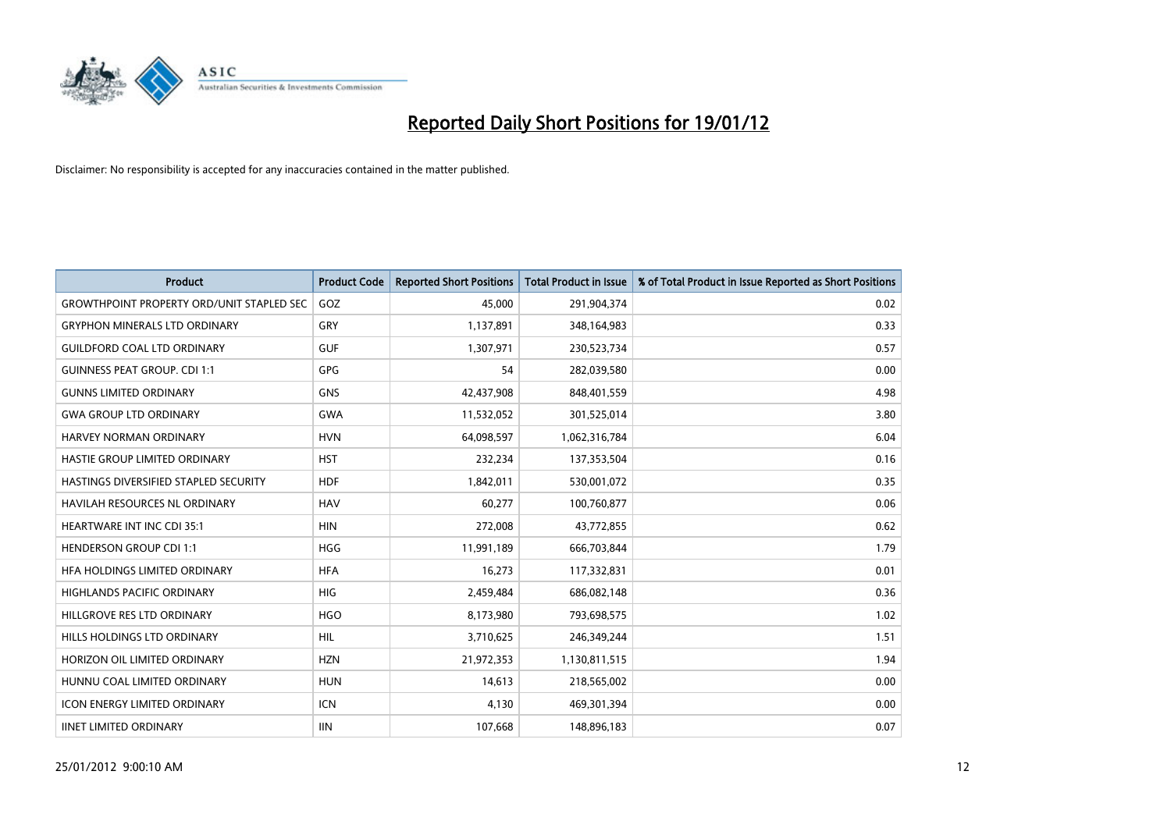

| <b>Product</b>                                   | <b>Product Code</b> | <b>Reported Short Positions</b> | <b>Total Product in Issue</b> | % of Total Product in Issue Reported as Short Positions |
|--------------------------------------------------|---------------------|---------------------------------|-------------------------------|---------------------------------------------------------|
| <b>GROWTHPOINT PROPERTY ORD/UNIT STAPLED SEC</b> | GOZ                 | 45,000                          | 291,904,374                   | 0.02                                                    |
| <b>GRYPHON MINERALS LTD ORDINARY</b>             | <b>GRY</b>          | 1,137,891                       | 348,164,983                   | 0.33                                                    |
| <b>GUILDFORD COAL LTD ORDINARY</b>               | <b>GUF</b>          | 1,307,971                       | 230,523,734                   | 0.57                                                    |
| <b>GUINNESS PEAT GROUP. CDI 1:1</b>              | <b>GPG</b>          | 54                              | 282,039,580                   | 0.00                                                    |
| <b>GUNNS LIMITED ORDINARY</b>                    | <b>GNS</b>          | 42,437,908                      | 848,401,559                   | 4.98                                                    |
| <b>GWA GROUP LTD ORDINARY</b>                    | <b>GWA</b>          | 11,532,052                      | 301,525,014                   | 3.80                                                    |
| HARVEY NORMAN ORDINARY                           | <b>HVN</b>          | 64,098,597                      | 1,062,316,784                 | 6.04                                                    |
| HASTIE GROUP LIMITED ORDINARY                    | <b>HST</b>          | 232,234                         | 137,353,504                   | 0.16                                                    |
| HASTINGS DIVERSIFIED STAPLED SECURITY            | <b>HDF</b>          | 1,842,011                       | 530,001,072                   | 0.35                                                    |
| <b>HAVILAH RESOURCES NL ORDINARY</b>             | <b>HAV</b>          | 60,277                          | 100,760,877                   | 0.06                                                    |
| HEARTWARE INT INC CDI 35:1                       | <b>HIN</b>          | 272,008                         | 43,772,855                    | 0.62                                                    |
| <b>HENDERSON GROUP CDI 1:1</b>                   | <b>HGG</b>          | 11,991,189                      | 666,703,844                   | 1.79                                                    |
| HFA HOLDINGS LIMITED ORDINARY                    | <b>HFA</b>          | 16,273                          | 117,332,831                   | 0.01                                                    |
| <b>HIGHLANDS PACIFIC ORDINARY</b>                | <b>HIG</b>          | 2,459,484                       | 686,082,148                   | 0.36                                                    |
| HILLGROVE RES LTD ORDINARY                       | <b>HGO</b>          | 8,173,980                       | 793,698,575                   | 1.02                                                    |
| HILLS HOLDINGS LTD ORDINARY                      | HIL                 | 3,710,625                       | 246,349,244                   | 1.51                                                    |
| HORIZON OIL LIMITED ORDINARY                     | <b>HZN</b>          | 21,972,353                      | 1,130,811,515                 | 1.94                                                    |
| HUNNU COAL LIMITED ORDINARY                      | <b>HUN</b>          | 14,613                          | 218,565,002                   | 0.00                                                    |
| <b>ICON ENERGY LIMITED ORDINARY</b>              | <b>ICN</b>          | 4,130                           | 469,301,394                   | 0.00                                                    |
| <b>IINET LIMITED ORDINARY</b>                    | <b>IIN</b>          | 107,668                         | 148,896,183                   | 0.07                                                    |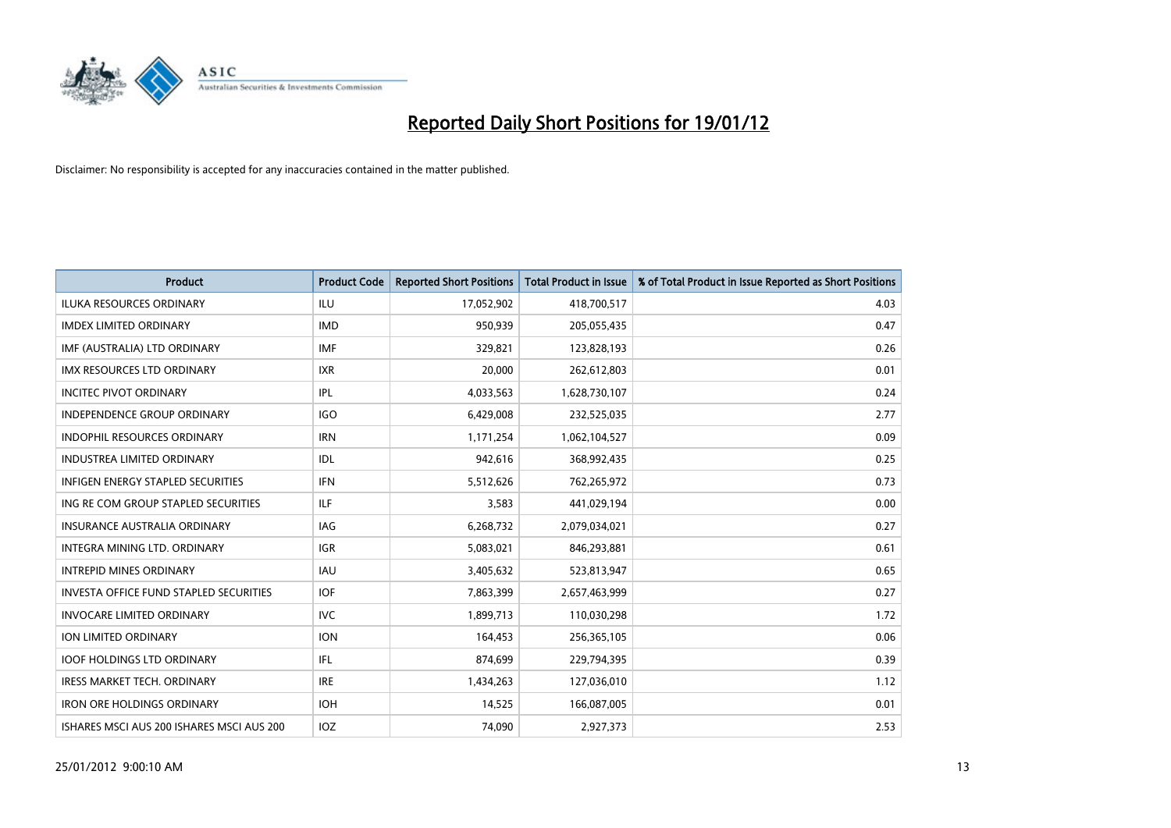

| <b>Product</b>                                | <b>Product Code</b> | <b>Reported Short Positions</b> | <b>Total Product in Issue</b> | % of Total Product in Issue Reported as Short Positions |
|-----------------------------------------------|---------------------|---------------------------------|-------------------------------|---------------------------------------------------------|
| <b>ILUKA RESOURCES ORDINARY</b>               | ILU                 | 17,052,902                      | 418,700,517                   | 4.03                                                    |
| <b>IMDEX LIMITED ORDINARY</b>                 | <b>IMD</b>          | 950,939                         | 205,055,435                   | 0.47                                                    |
| IMF (AUSTRALIA) LTD ORDINARY                  | <b>IMF</b>          | 329,821                         | 123,828,193                   | 0.26                                                    |
| IMX RESOURCES LTD ORDINARY                    | <b>IXR</b>          | 20,000                          | 262,612,803                   | 0.01                                                    |
| <b>INCITEC PIVOT ORDINARY</b>                 | IPL                 | 4,033,563                       | 1,628,730,107                 | 0.24                                                    |
| <b>INDEPENDENCE GROUP ORDINARY</b>            | <b>IGO</b>          | 6,429,008                       | 232,525,035                   | 2.77                                                    |
| <b>INDOPHIL RESOURCES ORDINARY</b>            | <b>IRN</b>          | 1,171,254                       | 1,062,104,527                 | 0.09                                                    |
| <b>INDUSTREA LIMITED ORDINARY</b>             | IDL                 | 942,616                         | 368,992,435                   | 0.25                                                    |
| <b>INFIGEN ENERGY STAPLED SECURITIES</b>      | <b>IFN</b>          | 5,512,626                       | 762,265,972                   | 0.73                                                    |
| ING RE COM GROUP STAPLED SECURITIES           | ILF.                | 3,583                           | 441,029,194                   | 0.00                                                    |
| <b>INSURANCE AUSTRALIA ORDINARY</b>           | <b>IAG</b>          | 6,268,732                       | 2,079,034,021                 | 0.27                                                    |
| <b>INTEGRA MINING LTD, ORDINARY</b>           | IGR                 | 5,083,021                       | 846,293,881                   | 0.61                                                    |
| <b>INTREPID MINES ORDINARY</b>                | <b>IAU</b>          | 3,405,632                       | 523,813,947                   | 0.65                                                    |
| <b>INVESTA OFFICE FUND STAPLED SECURITIES</b> | <b>IOF</b>          | 7,863,399                       | 2,657,463,999                 | 0.27                                                    |
| <b>INVOCARE LIMITED ORDINARY</b>              | <b>IVC</b>          | 1,899,713                       | 110,030,298                   | 1.72                                                    |
| ION LIMITED ORDINARY                          | <b>ION</b>          | 164,453                         | 256,365,105                   | 0.06                                                    |
| <b>IOOF HOLDINGS LTD ORDINARY</b>             | IFL                 | 874,699                         | 229,794,395                   | 0.39                                                    |
| <b>IRESS MARKET TECH. ORDINARY</b>            | <b>IRE</b>          | 1,434,263                       | 127,036,010                   | 1.12                                                    |
| <b>IRON ORE HOLDINGS ORDINARY</b>             | <b>IOH</b>          | 14,525                          | 166,087,005                   | 0.01                                                    |
| ISHARES MSCI AUS 200 ISHARES MSCI AUS 200     | <b>IOZ</b>          | 74.090                          | 2,927,373                     | 2.53                                                    |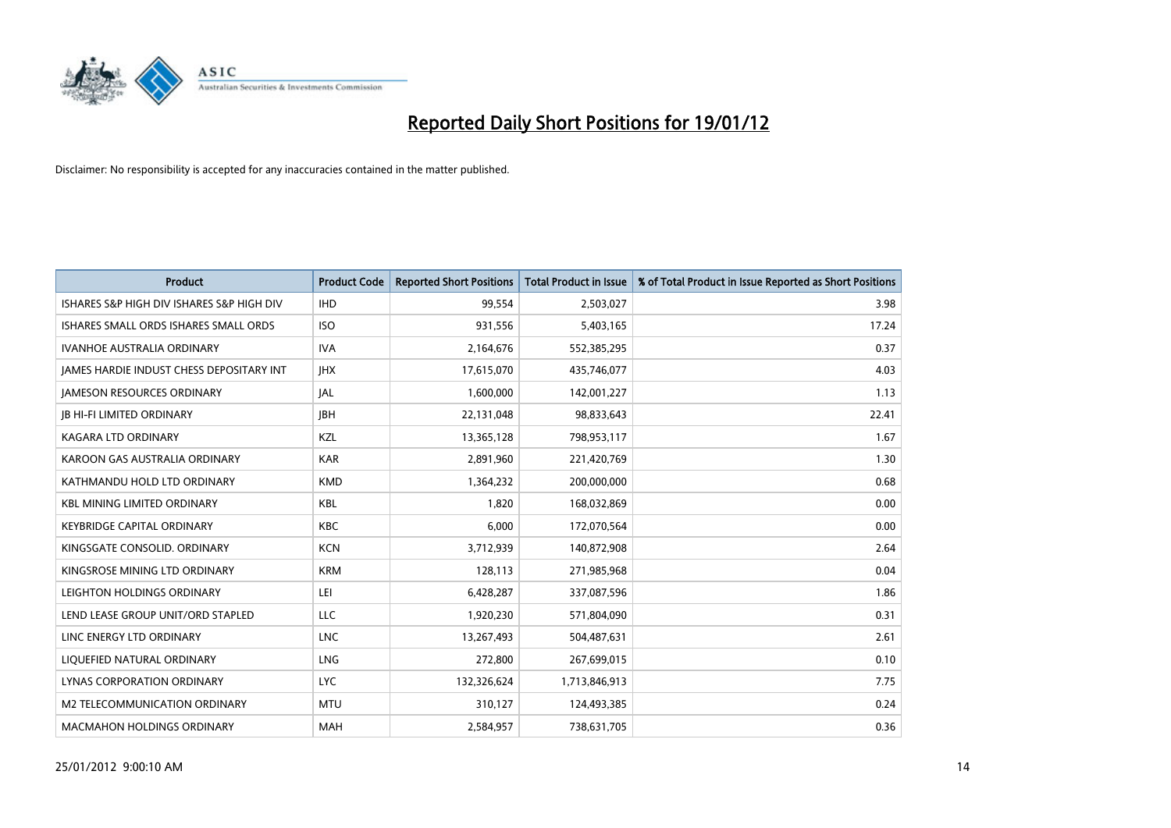

| <b>Product</b>                            | <b>Product Code</b> | <b>Reported Short Positions</b> | <b>Total Product in Issue</b> | % of Total Product in Issue Reported as Short Positions |
|-------------------------------------------|---------------------|---------------------------------|-------------------------------|---------------------------------------------------------|
| ISHARES S&P HIGH DIV ISHARES S&P HIGH DIV | <b>IHD</b>          | 99,554                          | 2,503,027                     | 3.98                                                    |
| ISHARES SMALL ORDS ISHARES SMALL ORDS     | <b>ISO</b>          | 931,556                         | 5,403,165                     | 17.24                                                   |
| <b>IVANHOE AUSTRALIA ORDINARY</b>         | <b>IVA</b>          | 2,164,676                       | 552,385,295                   | 0.37                                                    |
| JAMES HARDIE INDUST CHESS DEPOSITARY INT  | <b>IHX</b>          | 17,615,070                      | 435,746,077                   | 4.03                                                    |
| <b>JAMESON RESOURCES ORDINARY</b>         | <b>JAL</b>          | 1,600,000                       | 142,001,227                   | 1.13                                                    |
| <b>JB HI-FI LIMITED ORDINARY</b>          | <b>IBH</b>          | 22,131,048                      | 98,833,643                    | 22.41                                                   |
| <b>KAGARA LTD ORDINARY</b>                | KZL                 | 13,365,128                      | 798,953,117                   | 1.67                                                    |
| KAROON GAS AUSTRALIA ORDINARY             | <b>KAR</b>          | 2,891,960                       | 221,420,769                   | 1.30                                                    |
| KATHMANDU HOLD LTD ORDINARY               | <b>KMD</b>          | 1,364,232                       | 200,000,000                   | 0.68                                                    |
| <b>KBL MINING LIMITED ORDINARY</b>        | <b>KBL</b>          | 1,820                           | 168,032,869                   | 0.00                                                    |
| <b>KEYBRIDGE CAPITAL ORDINARY</b>         | <b>KBC</b>          | 6,000                           | 172,070,564                   | 0.00                                                    |
| KINGSGATE CONSOLID. ORDINARY              | <b>KCN</b>          | 3,712,939                       | 140,872,908                   | 2.64                                                    |
| KINGSROSE MINING LTD ORDINARY             | <b>KRM</b>          | 128,113                         | 271,985,968                   | 0.04                                                    |
| LEIGHTON HOLDINGS ORDINARY                | LEI                 | 6,428,287                       | 337,087,596                   | 1.86                                                    |
| LEND LEASE GROUP UNIT/ORD STAPLED         | <b>LLC</b>          | 1,920,230                       | 571,804,090                   | 0.31                                                    |
| LINC ENERGY LTD ORDINARY                  | <b>LNC</b>          | 13,267,493                      | 504,487,631                   | 2.61                                                    |
| LIQUEFIED NATURAL ORDINARY                | LNG                 | 272,800                         | 267,699,015                   | 0.10                                                    |
| LYNAS CORPORATION ORDINARY                | <b>LYC</b>          | 132,326,624                     | 1,713,846,913                 | 7.75                                                    |
| M2 TELECOMMUNICATION ORDINARY             | <b>MTU</b>          | 310,127                         | 124,493,385                   | 0.24                                                    |
| <b>MACMAHON HOLDINGS ORDINARY</b>         | <b>MAH</b>          | 2,584,957                       | 738,631,705                   | 0.36                                                    |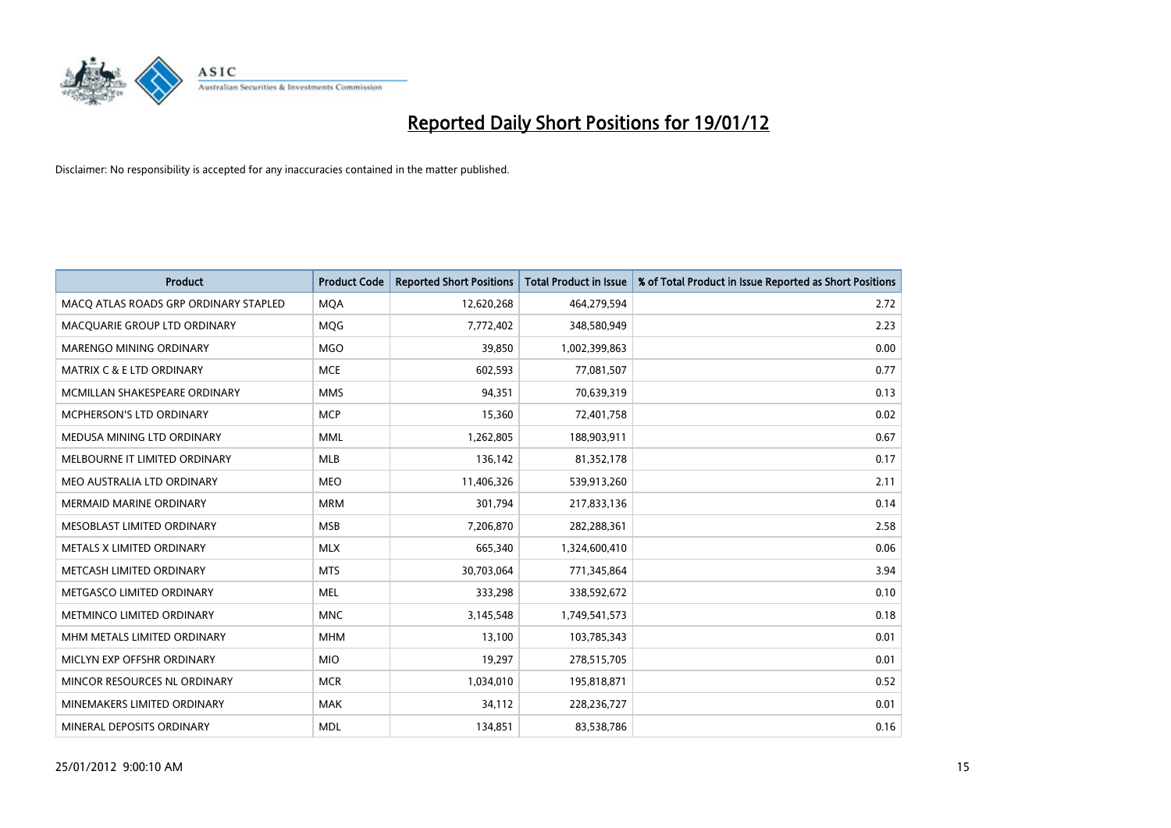

| <b>Product</b>                        | <b>Product Code</b> | <b>Reported Short Positions</b> | <b>Total Product in Issue</b> | % of Total Product in Issue Reported as Short Positions |
|---------------------------------------|---------------------|---------------------------------|-------------------------------|---------------------------------------------------------|
| MACO ATLAS ROADS GRP ORDINARY STAPLED | <b>MQA</b>          | 12,620,268                      | 464,279,594                   | 2.72                                                    |
| MACQUARIE GROUP LTD ORDINARY          | <b>MOG</b>          | 7,772,402                       | 348,580,949                   | 2.23                                                    |
| <b>MARENGO MINING ORDINARY</b>        | <b>MGO</b>          | 39,850                          | 1,002,399,863                 | 0.00                                                    |
| MATRIX C & E LTD ORDINARY             | <b>MCE</b>          | 602,593                         | 77,081,507                    | 0.77                                                    |
| MCMILLAN SHAKESPEARE ORDINARY         | <b>MMS</b>          | 94,351                          | 70,639,319                    | 0.13                                                    |
| MCPHERSON'S LTD ORDINARY              | <b>MCP</b>          | 15,360                          | 72,401,758                    | 0.02                                                    |
| MEDUSA MINING LTD ORDINARY            | <b>MML</b>          | 1,262,805                       | 188,903,911                   | 0.67                                                    |
| MELBOURNE IT LIMITED ORDINARY         | <b>MLB</b>          | 136,142                         | 81,352,178                    | 0.17                                                    |
| MEO AUSTRALIA LTD ORDINARY            | <b>MEO</b>          | 11,406,326                      | 539,913,260                   | 2.11                                                    |
| <b>MERMAID MARINE ORDINARY</b>        | <b>MRM</b>          | 301,794                         | 217,833,136                   | 0.14                                                    |
| MESOBLAST LIMITED ORDINARY            | <b>MSB</b>          | 7,206,870                       | 282,288,361                   | 2.58                                                    |
| METALS X LIMITED ORDINARY             | <b>MLX</b>          | 665,340                         | 1,324,600,410                 | 0.06                                                    |
| METCASH LIMITED ORDINARY              | <b>MTS</b>          | 30,703,064                      | 771,345,864                   | 3.94                                                    |
| METGASCO LIMITED ORDINARY             | <b>MEL</b>          | 333,298                         | 338,592,672                   | 0.10                                                    |
| METMINCO LIMITED ORDINARY             | <b>MNC</b>          | 3,145,548                       | 1,749,541,573                 | 0.18                                                    |
| MHM METALS LIMITED ORDINARY           | <b>MHM</b>          | 13,100                          | 103,785,343                   | 0.01                                                    |
| MICLYN EXP OFFSHR ORDINARY            | <b>MIO</b>          | 19,297                          | 278,515,705                   | 0.01                                                    |
| MINCOR RESOURCES NL ORDINARY          | <b>MCR</b>          | 1,034,010                       | 195,818,871                   | 0.52                                                    |
| MINEMAKERS LIMITED ORDINARY           | <b>MAK</b>          | 34,112                          | 228,236,727                   | 0.01                                                    |
| MINERAL DEPOSITS ORDINARY             | <b>MDL</b>          | 134,851                         | 83,538,786                    | 0.16                                                    |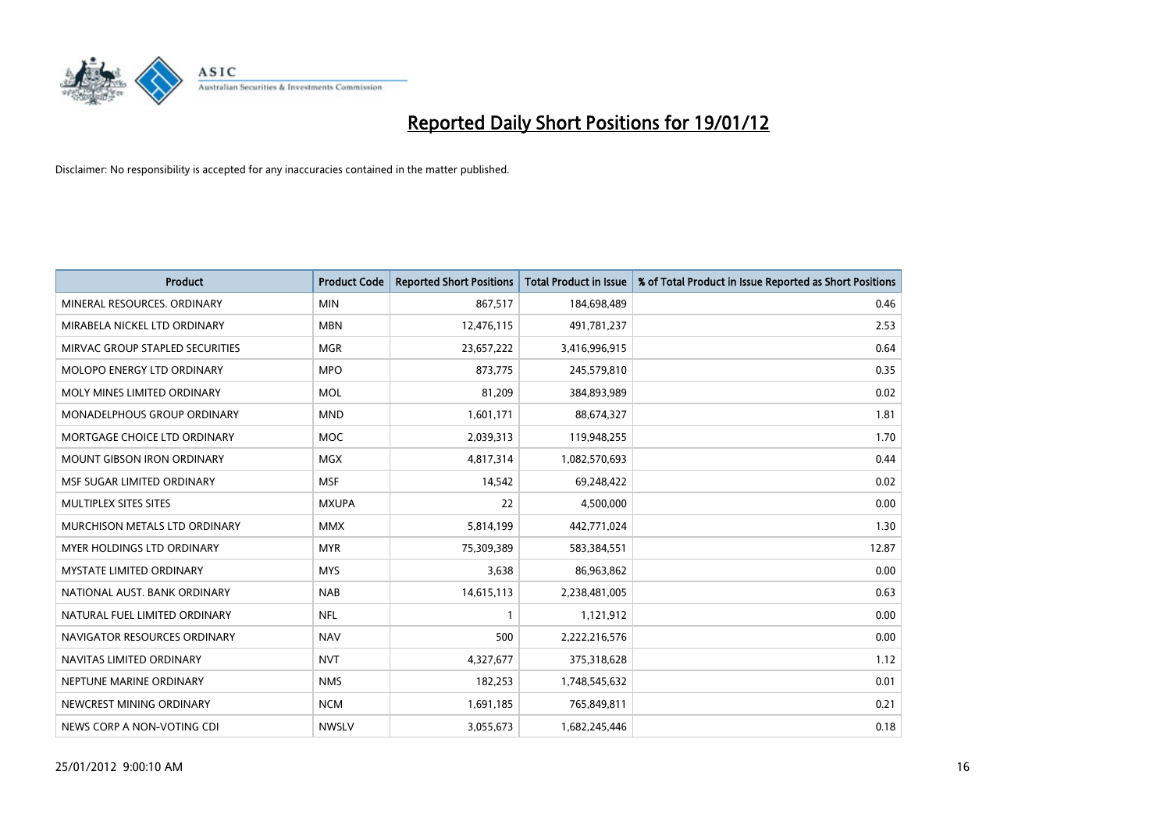

| <b>Product</b>                  | <b>Product Code</b> | <b>Reported Short Positions</b> | <b>Total Product in Issue</b> | % of Total Product in Issue Reported as Short Positions |
|---------------------------------|---------------------|---------------------------------|-------------------------------|---------------------------------------------------------|
| MINERAL RESOURCES, ORDINARY     | <b>MIN</b>          | 867,517                         | 184,698,489                   | 0.46                                                    |
| MIRABELA NICKEL LTD ORDINARY    | <b>MBN</b>          | 12,476,115                      | 491,781,237                   | 2.53                                                    |
| MIRVAC GROUP STAPLED SECURITIES | <b>MGR</b>          | 23,657,222                      | 3,416,996,915                 | 0.64                                                    |
| MOLOPO ENERGY LTD ORDINARY      | <b>MPO</b>          | 873,775                         | 245,579,810                   | 0.35                                                    |
| MOLY MINES LIMITED ORDINARY     | <b>MOL</b>          | 81,209                          | 384,893,989                   | 0.02                                                    |
| MONADELPHOUS GROUP ORDINARY     | <b>MND</b>          | 1,601,171                       | 88,674,327                    | 1.81                                                    |
| MORTGAGE CHOICE LTD ORDINARY    | MOC                 | 2,039,313                       | 119,948,255                   | 1.70                                                    |
| MOUNT GIBSON IRON ORDINARY      | <b>MGX</b>          | 4,817,314                       | 1,082,570,693                 | 0.44                                                    |
| MSF SUGAR LIMITED ORDINARY      | <b>MSF</b>          | 14,542                          | 69,248,422                    | 0.02                                                    |
| MULTIPLEX SITES SITES           | <b>MXUPA</b>        | 22                              | 4,500,000                     | 0.00                                                    |
| MURCHISON METALS LTD ORDINARY   | <b>MMX</b>          | 5,814,199                       | 442,771,024                   | 1.30                                                    |
| MYER HOLDINGS LTD ORDINARY      | <b>MYR</b>          | 75,309,389                      | 583,384,551                   | 12.87                                                   |
| <b>MYSTATE LIMITED ORDINARY</b> | <b>MYS</b>          | 3,638                           | 86,963,862                    | 0.00                                                    |
| NATIONAL AUST. BANK ORDINARY    | <b>NAB</b>          | 14,615,113                      | 2,238,481,005                 | 0.63                                                    |
| NATURAL FUEL LIMITED ORDINARY   | <b>NFL</b>          | 1                               | 1,121,912                     | 0.00                                                    |
| NAVIGATOR RESOURCES ORDINARY    | <b>NAV</b>          | 500                             | 2,222,216,576                 | 0.00                                                    |
| NAVITAS LIMITED ORDINARY        | <b>NVT</b>          | 4,327,677                       | 375,318,628                   | 1.12                                                    |
| NEPTUNE MARINE ORDINARY         | <b>NMS</b>          | 182,253                         | 1,748,545,632                 | 0.01                                                    |
| NEWCREST MINING ORDINARY        | <b>NCM</b>          | 1,691,185                       | 765,849,811                   | 0.21                                                    |
| NEWS CORP A NON-VOTING CDI      | <b>NWSLV</b>        | 3,055,673                       | 1,682,245,446                 | 0.18                                                    |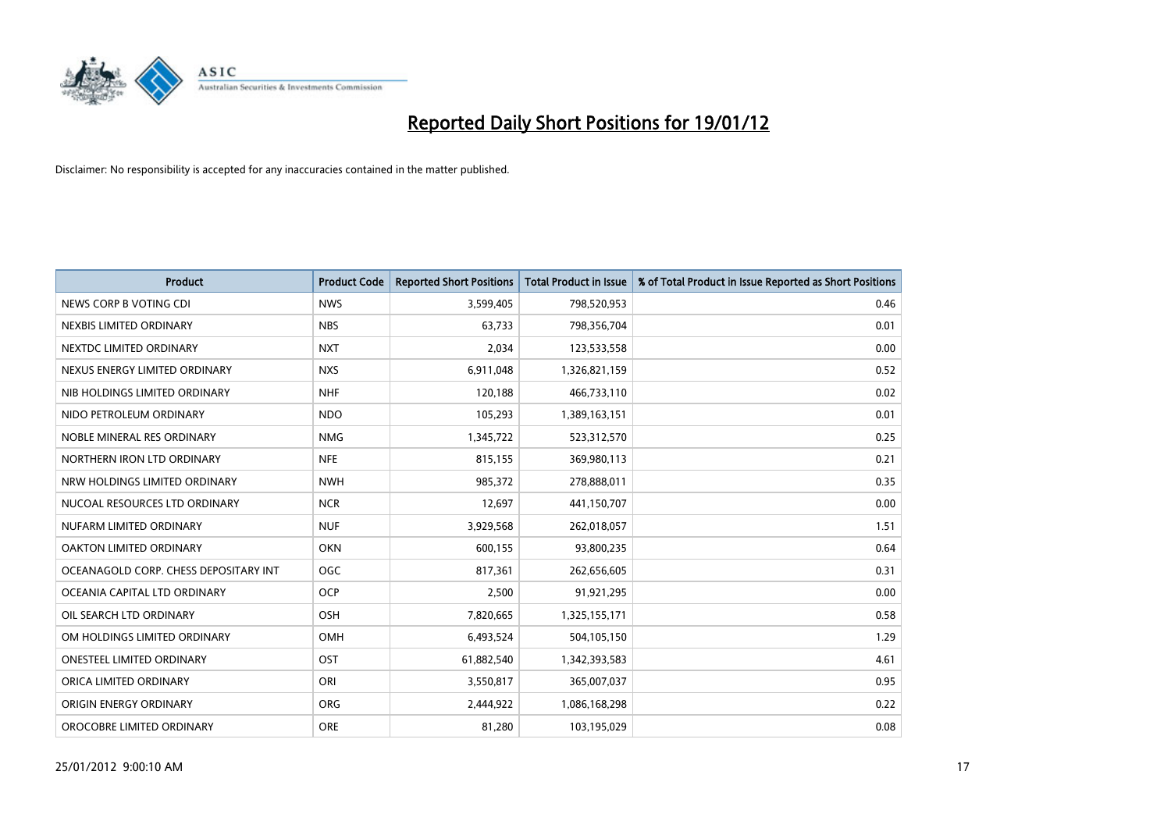

| <b>Product</b>                        | <b>Product Code</b> | <b>Reported Short Positions</b> | <b>Total Product in Issue</b> | % of Total Product in Issue Reported as Short Positions |
|---------------------------------------|---------------------|---------------------------------|-------------------------------|---------------------------------------------------------|
| NEWS CORP B VOTING CDI                | <b>NWS</b>          | 3,599,405                       | 798,520,953                   | 0.46                                                    |
| NEXBIS LIMITED ORDINARY               | <b>NBS</b>          | 63,733                          | 798,356,704                   | 0.01                                                    |
| NEXTDC LIMITED ORDINARY               | <b>NXT</b>          | 2,034                           | 123,533,558                   | 0.00                                                    |
| NEXUS ENERGY LIMITED ORDINARY         | <b>NXS</b>          | 6,911,048                       | 1,326,821,159                 | 0.52                                                    |
| NIB HOLDINGS LIMITED ORDINARY         | <b>NHF</b>          | 120,188                         | 466,733,110                   | 0.02                                                    |
| NIDO PETROLEUM ORDINARY               | <b>NDO</b>          | 105,293                         | 1,389,163,151                 | 0.01                                                    |
| NOBLE MINERAL RES ORDINARY            | <b>NMG</b>          | 1,345,722                       | 523,312,570                   | 0.25                                                    |
| NORTHERN IRON LTD ORDINARY            | <b>NFE</b>          | 815,155                         | 369,980,113                   | 0.21                                                    |
| NRW HOLDINGS LIMITED ORDINARY         | <b>NWH</b>          | 985,372                         | 278,888,011                   | 0.35                                                    |
| NUCOAL RESOURCES LTD ORDINARY         | <b>NCR</b>          | 12,697                          | 441,150,707                   | 0.00                                                    |
| NUFARM LIMITED ORDINARY               | <b>NUF</b>          | 3,929,568                       | 262,018,057                   | 1.51                                                    |
| <b>OAKTON LIMITED ORDINARY</b>        | <b>OKN</b>          | 600,155                         | 93,800,235                    | 0.64                                                    |
| OCEANAGOLD CORP. CHESS DEPOSITARY INT | <b>OGC</b>          | 817,361                         | 262,656,605                   | 0.31                                                    |
| OCEANIA CAPITAL LTD ORDINARY          | <b>OCP</b>          | 2,500                           | 91,921,295                    | 0.00                                                    |
| OIL SEARCH LTD ORDINARY               | OSH                 | 7,820,665                       | 1,325,155,171                 | 0.58                                                    |
| OM HOLDINGS LIMITED ORDINARY          | OMH                 | 6,493,524                       | 504,105,150                   | 1.29                                                    |
| ONESTEEL LIMITED ORDINARY             | OST                 | 61,882,540                      | 1,342,393,583                 | 4.61                                                    |
| ORICA LIMITED ORDINARY                | ORI                 | 3,550,817                       | 365,007,037                   | 0.95                                                    |
| ORIGIN ENERGY ORDINARY                | <b>ORG</b>          | 2,444,922                       | 1,086,168,298                 | 0.22                                                    |
| OROCOBRE LIMITED ORDINARY             | <b>ORE</b>          | 81,280                          | 103,195,029                   | 0.08                                                    |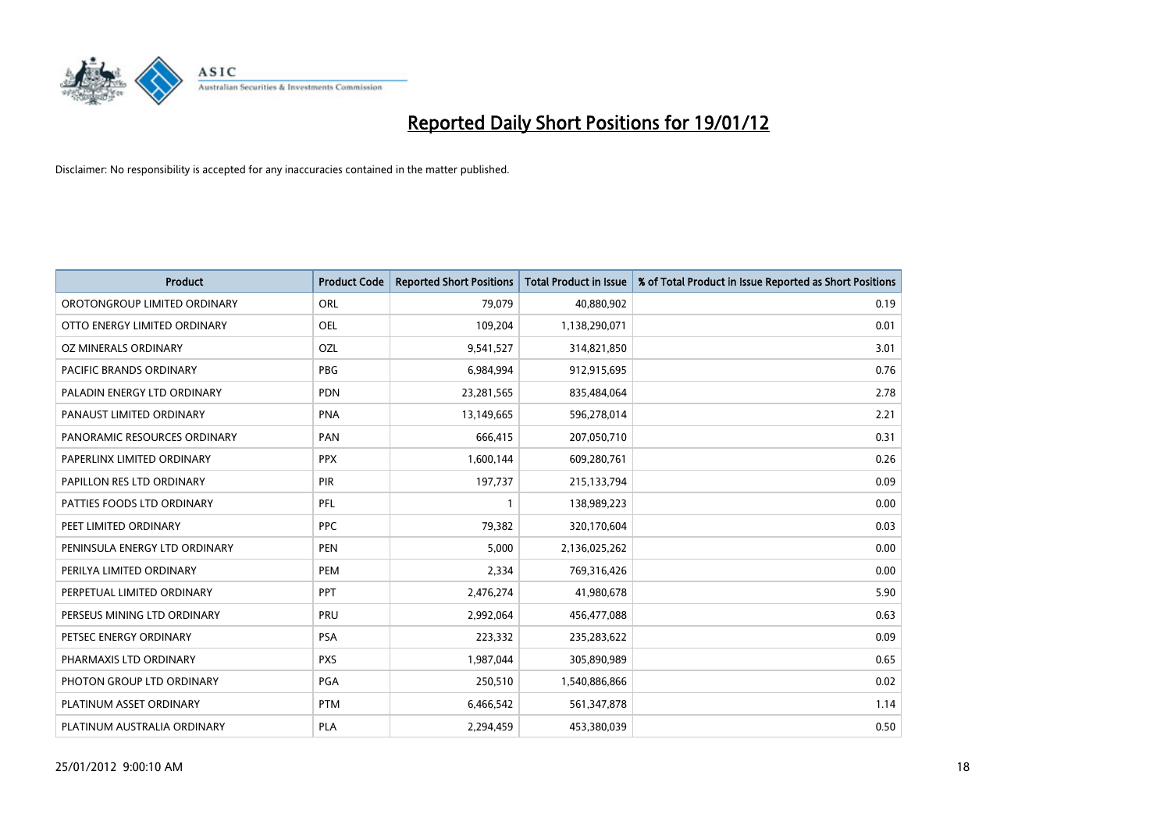

| <b>Product</b>                | <b>Product Code</b> | <b>Reported Short Positions</b> | <b>Total Product in Issue</b> | % of Total Product in Issue Reported as Short Positions |
|-------------------------------|---------------------|---------------------------------|-------------------------------|---------------------------------------------------------|
| OROTONGROUP LIMITED ORDINARY  | ORL                 | 79,079                          | 40,880,902                    | 0.19                                                    |
| OTTO ENERGY LIMITED ORDINARY  | OEL                 | 109,204                         | 1,138,290,071                 | 0.01                                                    |
| OZ MINERALS ORDINARY          | OZL                 | 9,541,527                       | 314,821,850                   | 3.01                                                    |
| PACIFIC BRANDS ORDINARY       | <b>PBG</b>          | 6,984,994                       | 912,915,695                   | 0.76                                                    |
| PALADIN ENERGY LTD ORDINARY   | <b>PDN</b>          | 23,281,565                      | 835,484,064                   | 2.78                                                    |
| PANAUST LIMITED ORDINARY      | <b>PNA</b>          | 13,149,665                      | 596,278,014                   | 2.21                                                    |
| PANORAMIC RESOURCES ORDINARY  | PAN                 | 666,415                         | 207,050,710                   | 0.31                                                    |
| PAPERLINX LIMITED ORDINARY    | <b>PPX</b>          | 1,600,144                       | 609,280,761                   | 0.26                                                    |
| PAPILLON RES LTD ORDINARY     | PIR                 | 197,737                         | 215,133,794                   | 0.09                                                    |
| PATTIES FOODS LTD ORDINARY    | <b>PFL</b>          | $\mathbf{1}$                    | 138,989,223                   | 0.00                                                    |
| PEET LIMITED ORDINARY         | <b>PPC</b>          | 79,382                          | 320,170,604                   | 0.03                                                    |
| PENINSULA ENERGY LTD ORDINARY | <b>PEN</b>          | 5,000                           | 2,136,025,262                 | 0.00                                                    |
| PERILYA LIMITED ORDINARY      | PEM                 | 2,334                           | 769,316,426                   | 0.00                                                    |
| PERPETUAL LIMITED ORDINARY    | <b>PPT</b>          | 2,476,274                       | 41,980,678                    | 5.90                                                    |
| PERSEUS MINING LTD ORDINARY   | PRU                 | 2,992,064                       | 456,477,088                   | 0.63                                                    |
| PETSEC ENERGY ORDINARY        | <b>PSA</b>          | 223,332                         | 235,283,622                   | 0.09                                                    |
| PHARMAXIS LTD ORDINARY        | <b>PXS</b>          | 1,987,044                       | 305,890,989                   | 0.65                                                    |
| PHOTON GROUP LTD ORDINARY     | <b>PGA</b>          | 250,510                         | 1,540,886,866                 | 0.02                                                    |
| PLATINUM ASSET ORDINARY       | <b>PTM</b>          | 6,466,542                       | 561,347,878                   | 1.14                                                    |
| PLATINUM AUSTRALIA ORDINARY   | PLA                 | 2,294,459                       | 453,380,039                   | 0.50                                                    |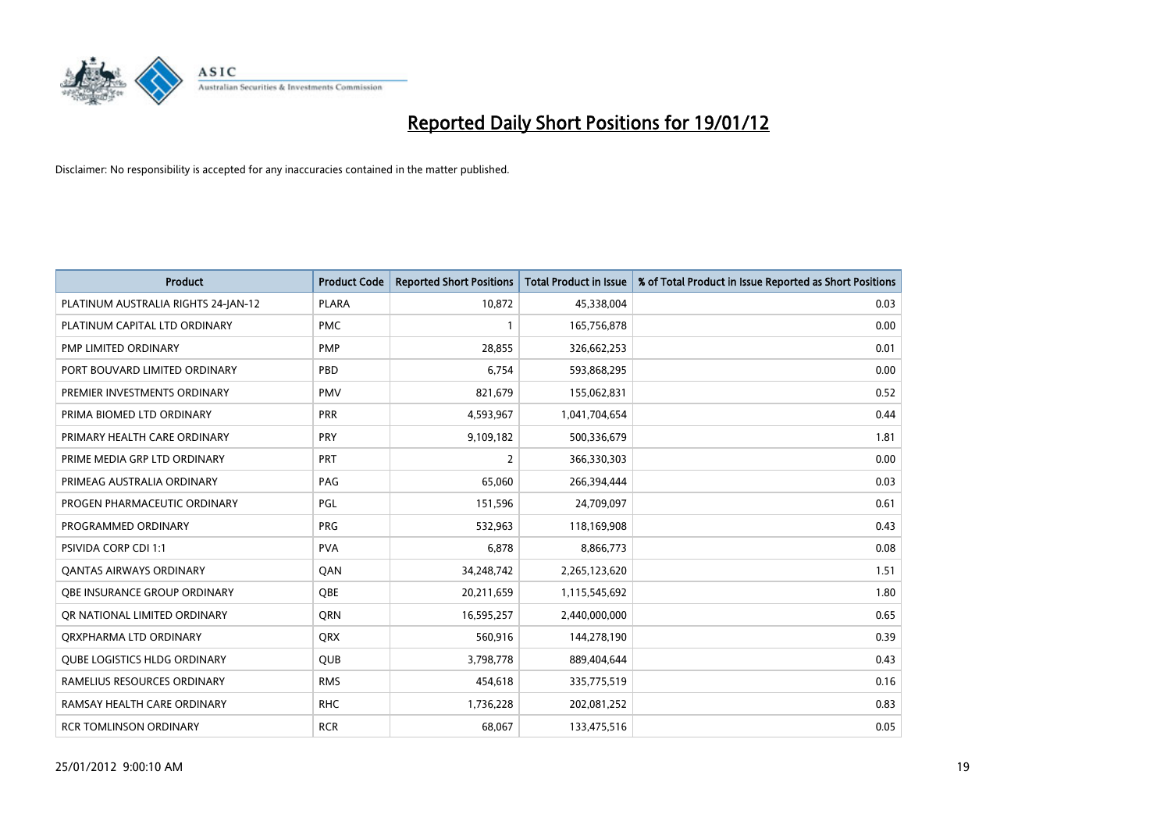

| <b>Product</b>                      | <b>Product Code</b> | <b>Reported Short Positions</b> | <b>Total Product in Issue</b> | % of Total Product in Issue Reported as Short Positions |
|-------------------------------------|---------------------|---------------------------------|-------------------------------|---------------------------------------------------------|
| PLATINUM AUSTRALIA RIGHTS 24-JAN-12 | <b>PLARA</b>        | 10,872                          | 45,338,004                    | 0.03                                                    |
| PLATINUM CAPITAL LTD ORDINARY       | <b>PMC</b>          | $\mathbf{1}$                    | 165,756,878                   | 0.00                                                    |
| PMP LIMITED ORDINARY                | <b>PMP</b>          | 28,855                          | 326,662,253                   | 0.01                                                    |
| PORT BOUVARD LIMITED ORDINARY       | PBD                 | 6,754                           | 593,868,295                   | 0.00                                                    |
| PREMIER INVESTMENTS ORDINARY        | <b>PMV</b>          | 821,679                         | 155,062,831                   | 0.52                                                    |
| PRIMA BIOMED LTD ORDINARY           | <b>PRR</b>          | 4,593,967                       | 1,041,704,654                 | 0.44                                                    |
| PRIMARY HEALTH CARE ORDINARY        | <b>PRY</b>          | 9,109,182                       | 500,336,679                   | 1.81                                                    |
| PRIME MEDIA GRP LTD ORDINARY        | PRT                 | $\overline{2}$                  | 366,330,303                   | 0.00                                                    |
| PRIMEAG AUSTRALIA ORDINARY          | PAG                 | 65.060                          | 266,394,444                   | 0.03                                                    |
| PROGEN PHARMACEUTIC ORDINARY        | PGL                 | 151,596                         | 24,709,097                    | 0.61                                                    |
| PROGRAMMED ORDINARY                 | <b>PRG</b>          | 532,963                         | 118,169,908                   | 0.43                                                    |
| <b>PSIVIDA CORP CDI 1:1</b>         | <b>PVA</b>          | 6,878                           | 8,866,773                     | 0.08                                                    |
| <b>QANTAS AIRWAYS ORDINARY</b>      | QAN                 | 34,248,742                      | 2,265,123,620                 | 1.51                                                    |
| OBE INSURANCE GROUP ORDINARY        | <b>OBE</b>          | 20,211,659                      | 1,115,545,692                 | 1.80                                                    |
| OR NATIONAL LIMITED ORDINARY        | <b>ORN</b>          | 16,595,257                      | 2,440,000,000                 | 0.65                                                    |
| ORXPHARMA LTD ORDINARY              | <b>QRX</b>          | 560,916                         | 144,278,190                   | 0.39                                                    |
| <b>QUBE LOGISTICS HLDG ORDINARY</b> | QUB                 | 3,798,778                       | 889,404,644                   | 0.43                                                    |
| RAMELIUS RESOURCES ORDINARY         | <b>RMS</b>          | 454,618                         | 335,775,519                   | 0.16                                                    |
| RAMSAY HEALTH CARE ORDINARY         | <b>RHC</b>          | 1,736,228                       | 202,081,252                   | 0.83                                                    |
| <b>RCR TOMLINSON ORDINARY</b>       | <b>RCR</b>          | 68,067                          | 133,475,516                   | 0.05                                                    |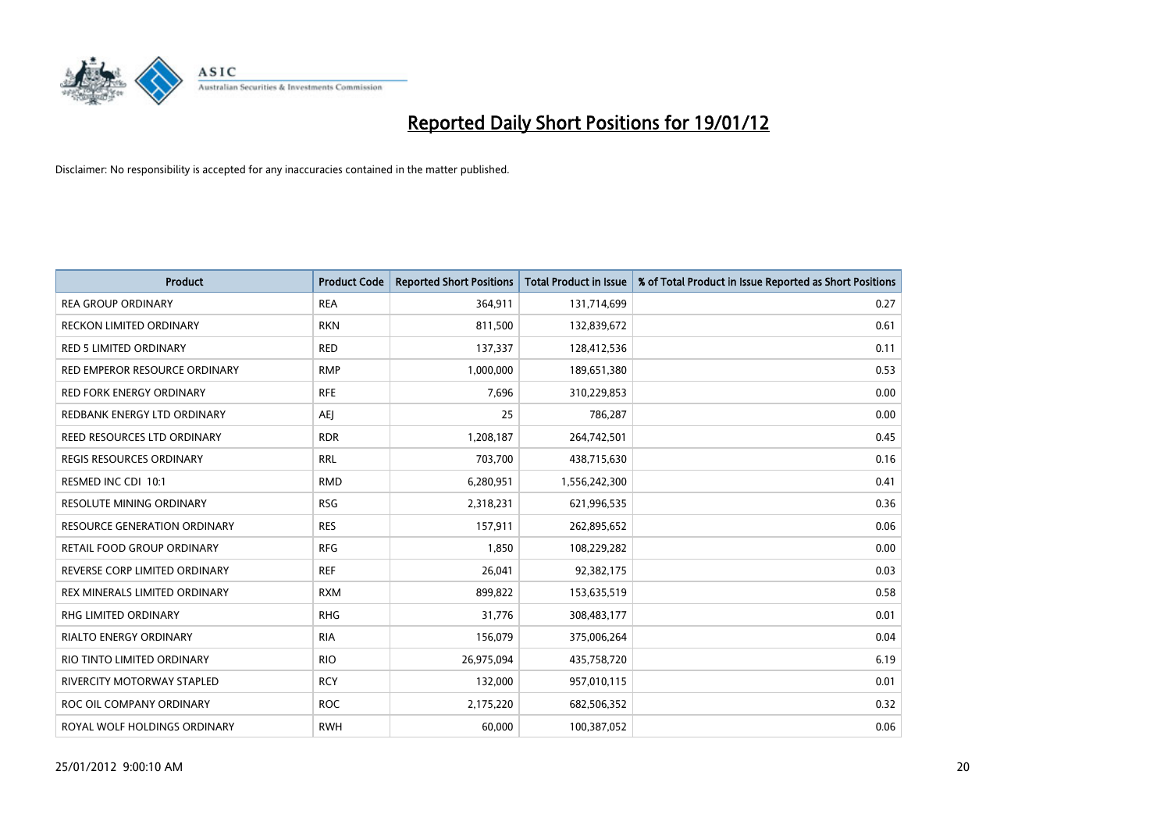

| <b>Product</b>                  | <b>Product Code</b> | <b>Reported Short Positions</b> | <b>Total Product in Issue</b> | % of Total Product in Issue Reported as Short Positions |
|---------------------------------|---------------------|---------------------------------|-------------------------------|---------------------------------------------------------|
| <b>REA GROUP ORDINARY</b>       | <b>REA</b>          | 364,911                         | 131,714,699                   | 0.27                                                    |
| <b>RECKON LIMITED ORDINARY</b>  | <b>RKN</b>          | 811,500                         | 132,839,672                   | 0.61                                                    |
| RED 5 LIMITED ORDINARY          | <b>RED</b>          | 137,337                         | 128,412,536                   | 0.11                                                    |
| RED EMPEROR RESOURCE ORDINARY   | <b>RMP</b>          | 1,000,000                       | 189,651,380                   | 0.53                                                    |
| <b>RED FORK ENERGY ORDINARY</b> | <b>RFE</b>          | 7,696                           | 310,229,853                   | 0.00                                                    |
| REDBANK ENERGY LTD ORDINARY     | <b>AEJ</b>          | 25                              | 786,287                       | 0.00                                                    |
| REED RESOURCES LTD ORDINARY     | <b>RDR</b>          | 1,208,187                       | 264,742,501                   | 0.45                                                    |
| REGIS RESOURCES ORDINARY        | <b>RRL</b>          | 703,700                         | 438,715,630                   | 0.16                                                    |
| RESMED INC CDI 10:1             | <b>RMD</b>          | 6,280,951                       | 1,556,242,300                 | 0.41                                                    |
| <b>RESOLUTE MINING ORDINARY</b> | <b>RSG</b>          | 2,318,231                       | 621,996,535                   | 0.36                                                    |
| RESOURCE GENERATION ORDINARY    | <b>RES</b>          | 157,911                         | 262,895,652                   | 0.06                                                    |
| RETAIL FOOD GROUP ORDINARY      | <b>RFG</b>          | 1,850                           | 108,229,282                   | 0.00                                                    |
| REVERSE CORP LIMITED ORDINARY   | <b>REF</b>          | 26,041                          | 92,382,175                    | 0.03                                                    |
| REX MINERALS LIMITED ORDINARY   | <b>RXM</b>          | 899,822                         | 153,635,519                   | 0.58                                                    |
| <b>RHG LIMITED ORDINARY</b>     | <b>RHG</b>          | 31,776                          | 308,483,177                   | 0.01                                                    |
| <b>RIALTO ENERGY ORDINARY</b>   | <b>RIA</b>          | 156,079                         | 375,006,264                   | 0.04                                                    |
| RIO TINTO LIMITED ORDINARY      | <b>RIO</b>          | 26,975,094                      | 435,758,720                   | 6.19                                                    |
| RIVERCITY MOTORWAY STAPLED      | <b>RCY</b>          | 132,000                         | 957,010,115                   | 0.01                                                    |
| ROC OIL COMPANY ORDINARY        | <b>ROC</b>          | 2,175,220                       | 682,506,352                   | 0.32                                                    |
| ROYAL WOLF HOLDINGS ORDINARY    | <b>RWH</b>          | 60,000                          | 100,387,052                   | 0.06                                                    |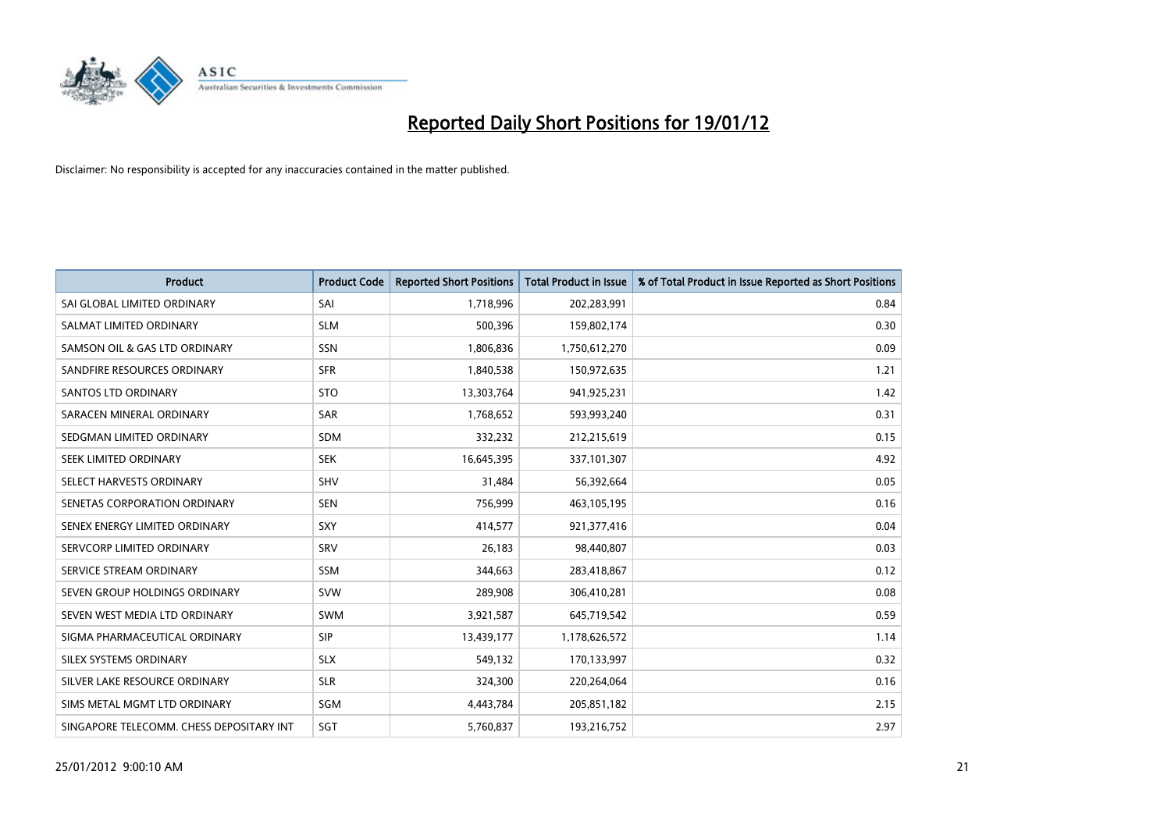

| <b>Product</b>                           | <b>Product Code</b> | <b>Reported Short Positions</b> | <b>Total Product in Issue</b> | % of Total Product in Issue Reported as Short Positions |
|------------------------------------------|---------------------|---------------------------------|-------------------------------|---------------------------------------------------------|
| SAI GLOBAL LIMITED ORDINARY              | SAI                 | 1,718,996                       | 202,283,991                   | 0.84                                                    |
| SALMAT LIMITED ORDINARY                  | <b>SLM</b>          | 500,396                         | 159,802,174                   | 0.30                                                    |
| SAMSON OIL & GAS LTD ORDINARY            | SSN                 | 1,806,836                       | 1,750,612,270                 | 0.09                                                    |
| SANDFIRE RESOURCES ORDINARY              | <b>SFR</b>          | 1,840,538                       | 150,972,635                   | 1.21                                                    |
| <b>SANTOS LTD ORDINARY</b>               | <b>STO</b>          | 13,303,764                      | 941,925,231                   | 1.42                                                    |
| SARACEN MINERAL ORDINARY                 | <b>SAR</b>          | 1,768,652                       | 593,993,240                   | 0.31                                                    |
| SEDGMAN LIMITED ORDINARY                 | <b>SDM</b>          | 332,232                         | 212,215,619                   | 0.15                                                    |
| SEEK LIMITED ORDINARY                    | <b>SEK</b>          | 16,645,395                      | 337,101,307                   | 4.92                                                    |
| SELECT HARVESTS ORDINARY                 | <b>SHV</b>          | 31,484                          | 56,392,664                    | 0.05                                                    |
| SENETAS CORPORATION ORDINARY             | <b>SEN</b>          | 756,999                         | 463,105,195                   | 0.16                                                    |
| SENEX ENERGY LIMITED ORDINARY            | <b>SXY</b>          | 414,577                         | 921,377,416                   | 0.04                                                    |
| SERVCORP LIMITED ORDINARY                | SRV                 | 26,183                          | 98,440,807                    | 0.03                                                    |
| SERVICE STREAM ORDINARY                  | SSM                 | 344,663                         | 283,418,867                   | 0.12                                                    |
| SEVEN GROUP HOLDINGS ORDINARY            | <b>SVW</b>          | 289,908                         | 306,410,281                   | 0.08                                                    |
| SEVEN WEST MEDIA LTD ORDINARY            | <b>SWM</b>          | 3,921,587                       | 645,719,542                   | 0.59                                                    |
| SIGMA PHARMACEUTICAL ORDINARY            | <b>SIP</b>          | 13,439,177                      | 1,178,626,572                 | 1.14                                                    |
| SILEX SYSTEMS ORDINARY                   | <b>SLX</b>          | 549,132                         | 170,133,997                   | 0.32                                                    |
| SILVER LAKE RESOURCE ORDINARY            | <b>SLR</b>          | 324,300                         | 220,264,064                   | 0.16                                                    |
| SIMS METAL MGMT LTD ORDINARY             | SGM                 | 4,443,784                       | 205,851,182                   | 2.15                                                    |
| SINGAPORE TELECOMM. CHESS DEPOSITARY INT | SGT                 | 5,760,837                       | 193,216,752                   | 2.97                                                    |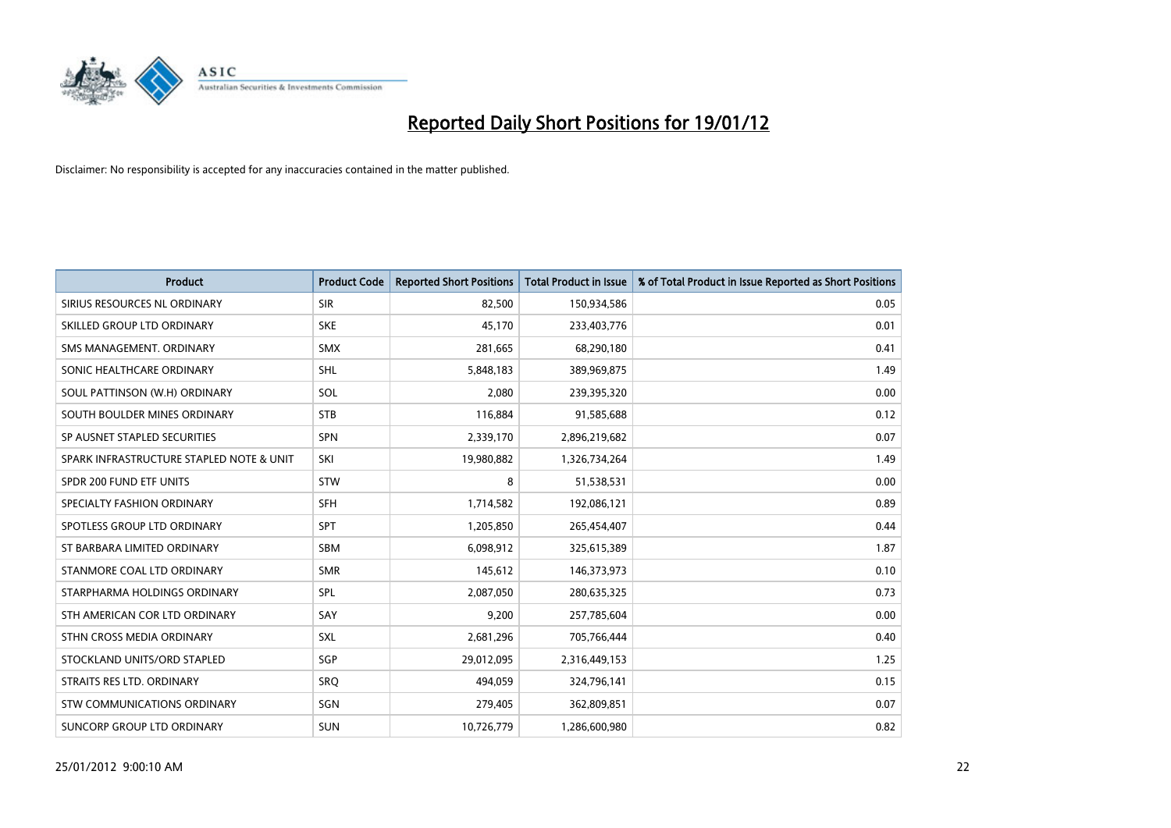

| <b>Product</b>                           | <b>Product Code</b> | <b>Reported Short Positions</b> | <b>Total Product in Issue</b> | % of Total Product in Issue Reported as Short Positions |
|------------------------------------------|---------------------|---------------------------------|-------------------------------|---------------------------------------------------------|
| SIRIUS RESOURCES NL ORDINARY             | <b>SIR</b>          | 82,500                          | 150,934,586                   | 0.05                                                    |
| SKILLED GROUP LTD ORDINARY               | <b>SKE</b>          | 45.170                          | 233,403,776                   | 0.01                                                    |
| SMS MANAGEMENT, ORDINARY                 | <b>SMX</b>          | 281,665                         | 68,290,180                    | 0.41                                                    |
| SONIC HEALTHCARE ORDINARY                | <b>SHL</b>          | 5,848,183                       | 389,969,875                   | 1.49                                                    |
| SOUL PATTINSON (W.H) ORDINARY            | SOL                 | 2,080                           | 239,395,320                   | 0.00                                                    |
| SOUTH BOULDER MINES ORDINARY             | <b>STB</b>          | 116,884                         | 91,585,688                    | 0.12                                                    |
| SP AUSNET STAPLED SECURITIES             | SPN                 | 2,339,170                       | 2,896,219,682                 | 0.07                                                    |
| SPARK INFRASTRUCTURE STAPLED NOTE & UNIT | SKI                 | 19,980,882                      | 1,326,734,264                 | 1.49                                                    |
| SPDR 200 FUND ETF UNITS                  | <b>STW</b>          | 8                               | 51,538,531                    | 0.00                                                    |
| SPECIALTY FASHION ORDINARY               | SFH                 | 1,714,582                       | 192,086,121                   | 0.89                                                    |
| SPOTLESS GROUP LTD ORDINARY              | <b>SPT</b>          | 1,205,850                       | 265,454,407                   | 0.44                                                    |
| ST BARBARA LIMITED ORDINARY              | <b>SBM</b>          | 6,098,912                       | 325,615,389                   | 1.87                                                    |
| STANMORE COAL LTD ORDINARY               | <b>SMR</b>          | 145,612                         | 146,373,973                   | 0.10                                                    |
| STARPHARMA HOLDINGS ORDINARY             | <b>SPL</b>          | 2,087,050                       | 280,635,325                   | 0.73                                                    |
| STH AMERICAN COR LTD ORDINARY            | SAY                 | 9,200                           | 257,785,604                   | 0.00                                                    |
| STHN CROSS MEDIA ORDINARY                | <b>SXL</b>          | 2,681,296                       | 705,766,444                   | 0.40                                                    |
| STOCKLAND UNITS/ORD STAPLED              | SGP                 | 29,012,095                      | 2,316,449,153                 | 1.25                                                    |
| STRAITS RES LTD. ORDINARY                | SRO                 | 494,059                         | 324,796,141                   | 0.15                                                    |
| STW COMMUNICATIONS ORDINARY              | SGN                 | 279,405                         | 362,809,851                   | 0.07                                                    |
| SUNCORP GROUP LTD ORDINARY               | <b>SUN</b>          | 10,726,779                      | 1,286,600,980                 | 0.82                                                    |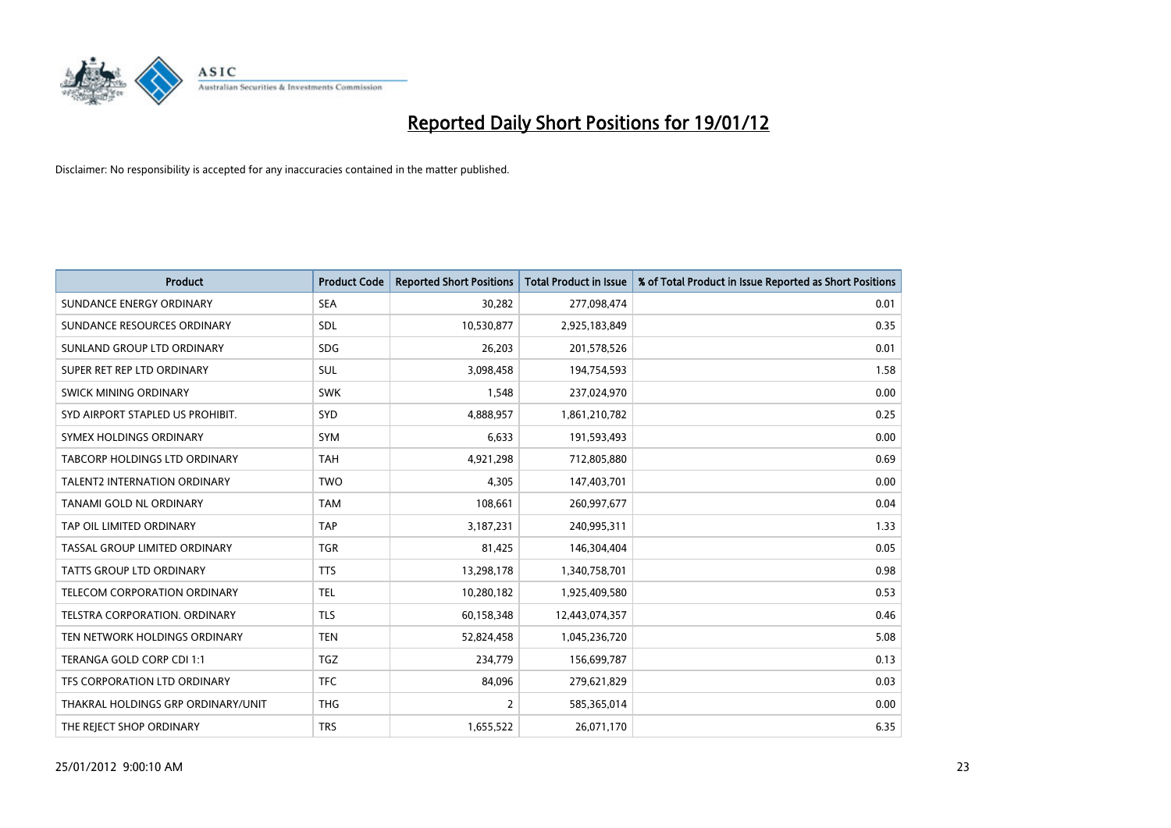

| <b>Product</b>                      | <b>Product Code</b> | <b>Reported Short Positions</b> | <b>Total Product in Issue</b> | % of Total Product in Issue Reported as Short Positions |
|-------------------------------------|---------------------|---------------------------------|-------------------------------|---------------------------------------------------------|
| SUNDANCE ENERGY ORDINARY            | <b>SEA</b>          | 30,282                          | 277,098,474                   | 0.01                                                    |
| SUNDANCE RESOURCES ORDINARY         | <b>SDL</b>          | 10,530,877                      | 2,925,183,849                 | 0.35                                                    |
| SUNLAND GROUP LTD ORDINARY          | <b>SDG</b>          | 26,203                          | 201,578,526                   | 0.01                                                    |
| SUPER RET REP LTD ORDINARY          | <b>SUL</b>          | 3,098,458                       | 194,754,593                   | 1.58                                                    |
| SWICK MINING ORDINARY               | <b>SWK</b>          | 1,548                           | 237,024,970                   | 0.00                                                    |
| SYD AIRPORT STAPLED US PROHIBIT.    | <b>SYD</b>          | 4,888,957                       | 1,861,210,782                 | 0.25                                                    |
| SYMEX HOLDINGS ORDINARY             | <b>SYM</b>          | 6,633                           | 191,593,493                   | 0.00                                                    |
| TABCORP HOLDINGS LTD ORDINARY       | <b>TAH</b>          | 4,921,298                       | 712,805,880                   | 0.69                                                    |
| <b>TALENT2 INTERNATION ORDINARY</b> | <b>TWO</b>          | 4,305                           | 147,403,701                   | 0.00                                                    |
| TANAMI GOLD NL ORDINARY             | <b>TAM</b>          | 108,661                         | 260,997,677                   | 0.04                                                    |
| TAP OIL LIMITED ORDINARY            | <b>TAP</b>          | 3,187,231                       | 240,995,311                   | 1.33                                                    |
| TASSAL GROUP LIMITED ORDINARY       | <b>TGR</b>          | 81,425                          | 146,304,404                   | 0.05                                                    |
| TATTS GROUP LTD ORDINARY            | <b>TTS</b>          | 13,298,178                      | 1,340,758,701                 | 0.98                                                    |
| TELECOM CORPORATION ORDINARY        | <b>TEL</b>          | 10,280,182                      | 1,925,409,580                 | 0.53                                                    |
| TELSTRA CORPORATION. ORDINARY       | <b>TLS</b>          | 60,158,348                      | 12,443,074,357                | 0.46                                                    |
| TEN NETWORK HOLDINGS ORDINARY       | <b>TEN</b>          | 52,824,458                      | 1,045,236,720                 | 5.08                                                    |
| TERANGA GOLD CORP CDI 1:1           | <b>TGZ</b>          | 234,779                         | 156,699,787                   | 0.13                                                    |
| TFS CORPORATION LTD ORDINARY        | <b>TFC</b>          | 84,096                          | 279,621,829                   | 0.03                                                    |
| THAKRAL HOLDINGS GRP ORDINARY/UNIT  | <b>THG</b>          | $\overline{2}$                  | 585,365,014                   | 0.00                                                    |
| THE REJECT SHOP ORDINARY            | <b>TRS</b>          | 1,655,522                       | 26,071,170                    | 6.35                                                    |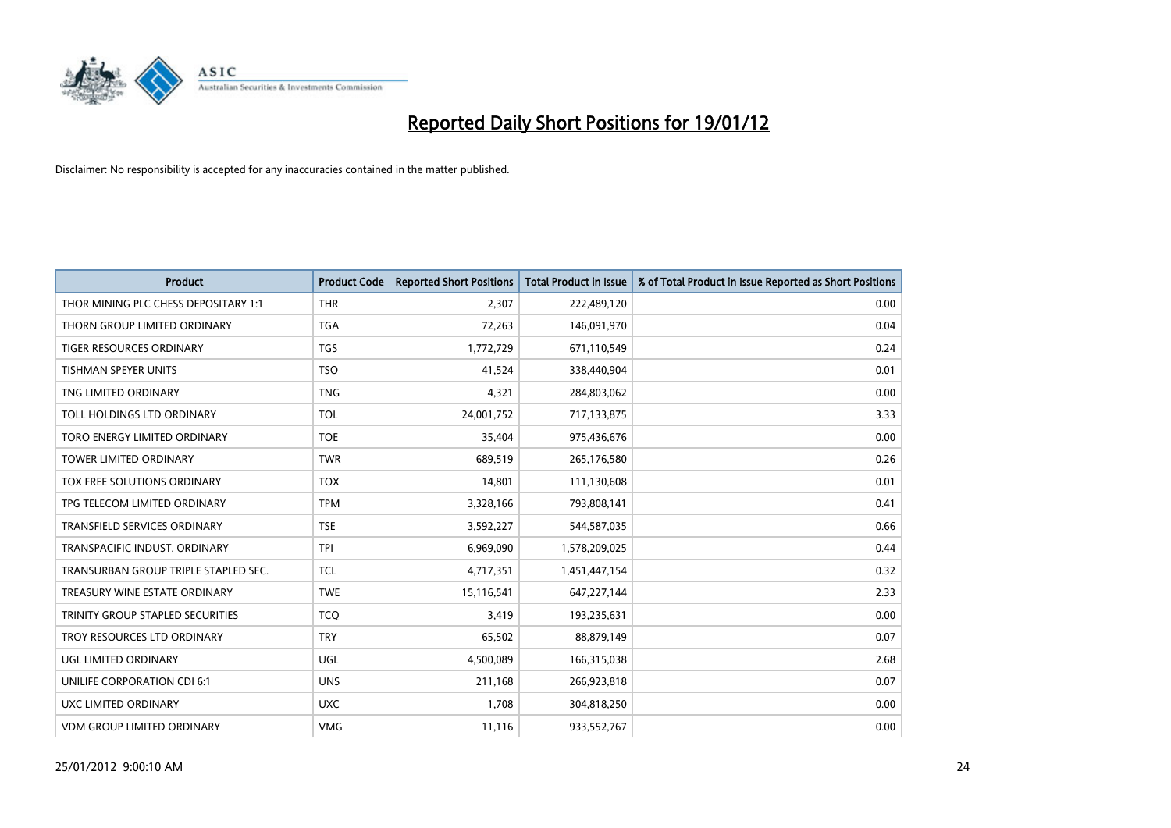

| <b>Product</b>                       | <b>Product Code</b> | <b>Reported Short Positions</b> | <b>Total Product in Issue</b> | % of Total Product in Issue Reported as Short Positions |
|--------------------------------------|---------------------|---------------------------------|-------------------------------|---------------------------------------------------------|
| THOR MINING PLC CHESS DEPOSITARY 1:1 | <b>THR</b>          | 2,307                           | 222,489,120                   | 0.00                                                    |
| THORN GROUP LIMITED ORDINARY         | <b>TGA</b>          | 72,263                          | 146,091,970                   | 0.04                                                    |
| <b>TIGER RESOURCES ORDINARY</b>      | <b>TGS</b>          | 1,772,729                       | 671,110,549                   | 0.24                                                    |
| TISHMAN SPEYER UNITS                 | <b>TSO</b>          | 41,524                          | 338,440,904                   | 0.01                                                    |
| TNG LIMITED ORDINARY                 | <b>TNG</b>          | 4,321                           | 284,803,062                   | 0.00                                                    |
| TOLL HOLDINGS LTD ORDINARY           | <b>TOL</b>          | 24,001,752                      | 717,133,875                   | 3.33                                                    |
| TORO ENERGY LIMITED ORDINARY         | <b>TOE</b>          | 35,404                          | 975,436,676                   | 0.00                                                    |
| TOWER LIMITED ORDINARY               | <b>TWR</b>          | 689,519                         | 265,176,580                   | 0.26                                                    |
| TOX FREE SOLUTIONS ORDINARY          | <b>TOX</b>          | 14,801                          | 111,130,608                   | 0.01                                                    |
| TPG TELECOM LIMITED ORDINARY         | <b>TPM</b>          | 3,328,166                       | 793,808,141                   | 0.41                                                    |
| TRANSFIELD SERVICES ORDINARY         | <b>TSE</b>          | 3,592,227                       | 544,587,035                   | 0.66                                                    |
| TRANSPACIFIC INDUST, ORDINARY        | <b>TPI</b>          | 6,969,090                       | 1,578,209,025                 | 0.44                                                    |
| TRANSURBAN GROUP TRIPLE STAPLED SEC. | <b>TCL</b>          | 4,717,351                       | 1,451,447,154                 | 0.32                                                    |
| TREASURY WINE ESTATE ORDINARY        | <b>TWE</b>          | 15,116,541                      | 647,227,144                   | 2.33                                                    |
| TRINITY GROUP STAPLED SECURITIES     | <b>TCO</b>          | 3,419                           | 193,235,631                   | 0.00                                                    |
| TROY RESOURCES LTD ORDINARY          | <b>TRY</b>          | 65,502                          | 88,879,149                    | 0.07                                                    |
| UGL LIMITED ORDINARY                 | UGL                 | 4,500,089                       | 166,315,038                   | 2.68                                                    |
| UNILIFE CORPORATION CDI 6:1          | <b>UNS</b>          | 211,168                         | 266,923,818                   | 0.07                                                    |
| <b>UXC LIMITED ORDINARY</b>          | <b>UXC</b>          | 1,708                           | 304,818,250                   | 0.00                                                    |
| <b>VDM GROUP LIMITED ORDINARY</b>    | <b>VMG</b>          | 11,116                          | 933,552,767                   | 0.00                                                    |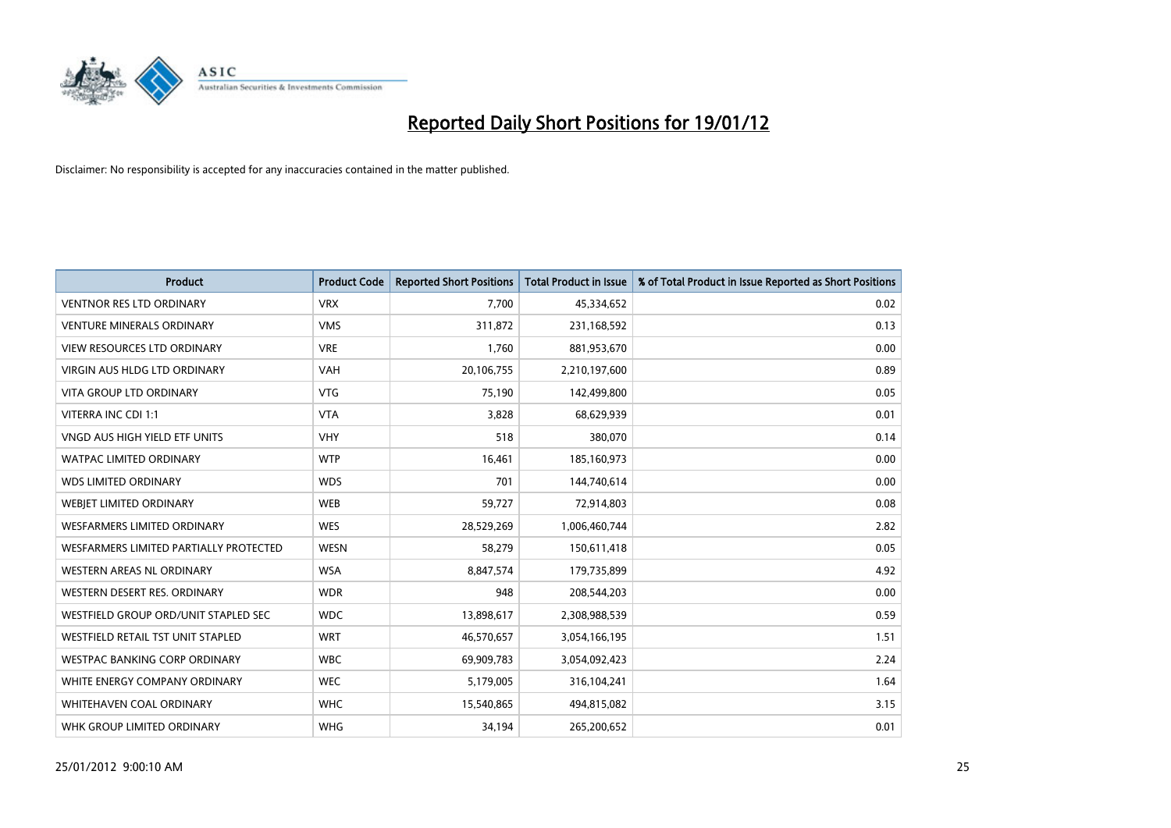

| <b>Product</b>                         | <b>Product Code</b> | <b>Reported Short Positions</b> | <b>Total Product in Issue</b> | % of Total Product in Issue Reported as Short Positions |
|----------------------------------------|---------------------|---------------------------------|-------------------------------|---------------------------------------------------------|
| <b>VENTNOR RES LTD ORDINARY</b>        | <b>VRX</b>          | 7,700                           | 45,334,652                    | 0.02                                                    |
| <b>VENTURE MINERALS ORDINARY</b>       | <b>VMS</b>          | 311,872                         | 231,168,592                   | 0.13                                                    |
| <b>VIEW RESOURCES LTD ORDINARY</b>     | <b>VRE</b>          | 1,760                           | 881,953,670                   | 0.00                                                    |
| <b>VIRGIN AUS HLDG LTD ORDINARY</b>    | <b>VAH</b>          | 20,106,755                      | 2,210,197,600                 | 0.89                                                    |
| <b>VITA GROUP LTD ORDINARY</b>         | <b>VTG</b>          | 75,190                          | 142,499,800                   | 0.05                                                    |
| VITERRA INC CDI 1:1                    | <b>VTA</b>          | 3,828                           | 68,629,939                    | 0.01                                                    |
| VNGD AUS HIGH YIELD ETF UNITS          | <b>VHY</b>          | 518                             | 380,070                       | 0.14                                                    |
| <b>WATPAC LIMITED ORDINARY</b>         | <b>WTP</b>          | 16,461                          | 185,160,973                   | 0.00                                                    |
| <b>WDS LIMITED ORDINARY</b>            | <b>WDS</b>          | 701                             | 144,740,614                   | 0.00                                                    |
| WEBIET LIMITED ORDINARY                | <b>WEB</b>          | 59,727                          | 72,914,803                    | 0.08                                                    |
| WESFARMERS LIMITED ORDINARY            | <b>WES</b>          | 28,529,269                      | 1,006,460,744                 | 2.82                                                    |
| WESFARMERS LIMITED PARTIALLY PROTECTED | <b>WESN</b>         | 58,279                          | 150,611,418                   | 0.05                                                    |
| WESTERN AREAS NL ORDINARY              | <b>WSA</b>          | 8,847,574                       | 179,735,899                   | 4.92                                                    |
| WESTERN DESERT RES. ORDINARY           | <b>WDR</b>          | 948                             | 208,544,203                   | 0.00                                                    |
| WESTFIELD GROUP ORD/UNIT STAPLED SEC   | <b>WDC</b>          | 13,898,617                      | 2,308,988,539                 | 0.59                                                    |
| WESTFIELD RETAIL TST UNIT STAPLED      | <b>WRT</b>          | 46,570,657                      | 3,054,166,195                 | 1.51                                                    |
| <b>WESTPAC BANKING CORP ORDINARY</b>   | <b>WBC</b>          | 69,909,783                      | 3,054,092,423                 | 2.24                                                    |
| WHITE ENERGY COMPANY ORDINARY          | <b>WEC</b>          | 5,179,005                       | 316,104,241                   | 1.64                                                    |
| WHITEHAVEN COAL ORDINARY               | <b>WHC</b>          | 15,540,865                      | 494,815,082                   | 3.15                                                    |
| WHK GROUP LIMITED ORDINARY             | <b>WHG</b>          | 34,194                          | 265,200,652                   | 0.01                                                    |